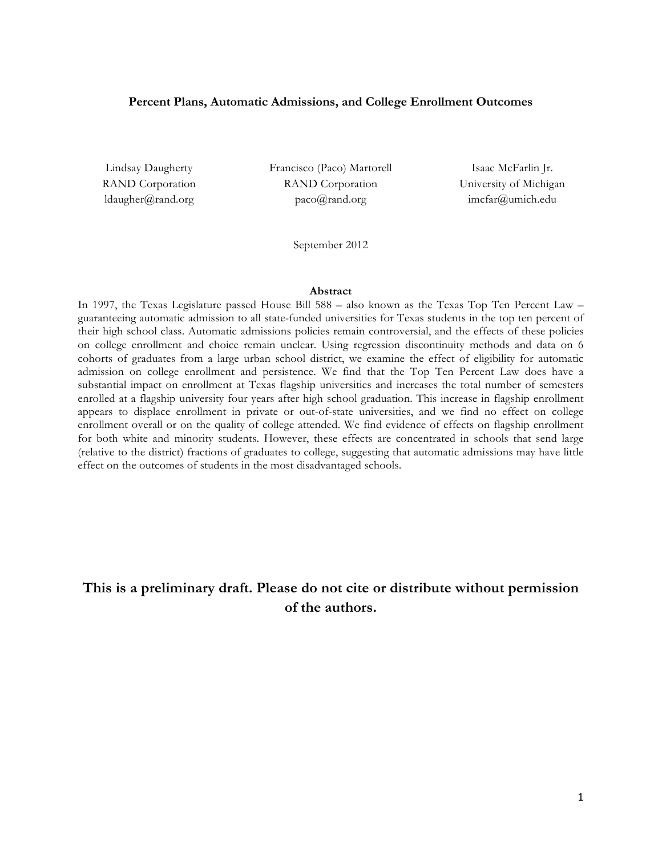#### **Percent Plans, Automatic Admissions, and College Enrollment Outcomes**

Lindsay Daugherty RAND Corporation ldaugher@rand.org

Francisco (Paco) Martorell RAND Corporation paco@rand.org

Isaac McFarlin Jr. University of Michigan imcfar@umich.edu

September 2012

#### **Abstract**

In 1997, the Texas Legislature passed House Bill 588 – also known as the Texas Top Ten Percent Law – guaranteeing automatic admission to all state-funded universities for Texas students in the top ten percent of their high school class. Automatic admissions policies remain controversial, and the effects of these policies on college enrollment and choice remain unclear. Using regression discontinuity methods and data on 6 cohorts of graduates from a large urban school district, we examine the effect of eligibility for automatic admission on college enrollment and persistence. We find that the Top Ten Percent Law does have a substantial impact on enrollment at Texas flagship universities and increases the total number of semesters enrolled at a flagship university four years after high school graduation. This increase in flagship enrollment appears to displace enrollment in private or out-of-state universities, and we find no effect on college enrollment overall or on the quality of college attended. We find evidence of effects on flagship enrollment for both white and minority students. However, these effects are concentrated in schools that send large (relative to the district) fractions of graduates to college, suggesting that automatic admissions may have little effect on the outcomes of students in the most disadvantaged schools.

# **This is a preliminary draft. Please do not cite or distribute without permission of the authors.**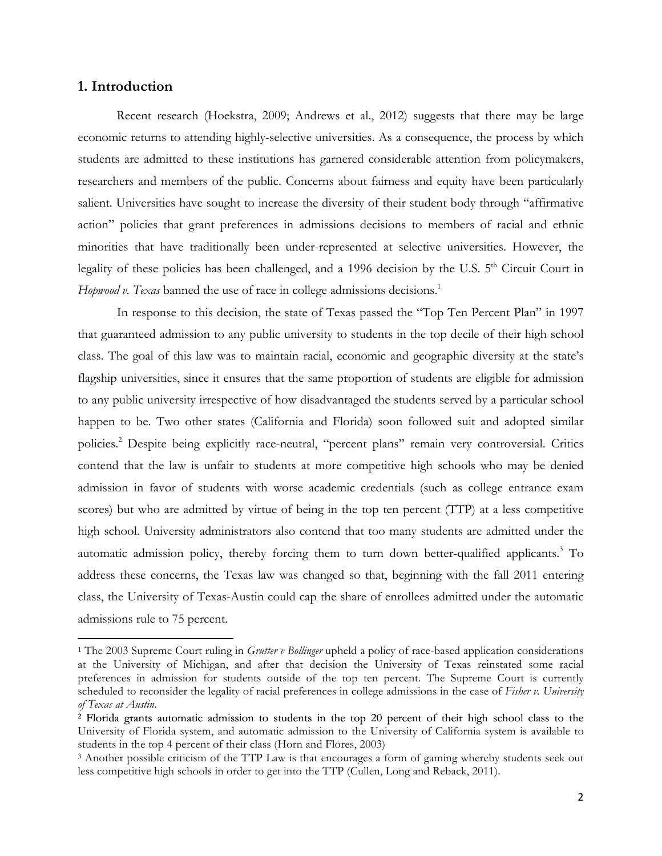## **1. Introduction**

!!!!!!!!!!!!!!!!!!!!!!!!!!!!!!!!!!!!!!!!!!!!!!!!!!!!!!!!!!!!

Recent research (Hoekstra, 2009; Andrews et al., 2012) suggests that there may be large economic returns to attending highly-selective universities. As a consequence, the process by which students are admitted to these institutions has garnered considerable attention from policymakers, researchers and members of the public. Concerns about fairness and equity have been particularly salient. Universities have sought to increase the diversity of their student body through "affirmative action" policies that grant preferences in admissions decisions to members of racial and ethnic minorities that have traditionally been under-represented at selective universities. However, the legality of these policies has been challenged, and a 1996 decision by the U.S.  $5<sup>th</sup>$  Circuit Court in *Hopwood v. Texas* banned the use of race in college admissions decisions. 1

In response to this decision, the state of Texas passed the "Top Ten Percent Plan" in 1997 that guaranteed admission to any public university to students in the top decile of their high school class. The goal of this law was to maintain racial, economic and geographic diversity at the state's flagship universities, since it ensures that the same proportion of students are eligible for admission to any public university irrespective of how disadvantaged the students served by a particular school happen to be. Two other states (California and Florida) soon followed suit and adopted similar policies.2 Despite being explicitly race-neutral, "percent plans" remain very controversial. Critics contend that the law is unfair to students at more competitive high schools who may be denied admission in favor of students with worse academic credentials (such as college entrance exam scores) but who are admitted by virtue of being in the top ten percent (TTP) at a less competitive high school. University administrators also contend that too many students are admitted under the automatic admission policy, thereby forcing them to turn down better-qualified applicants. <sup>3</sup> To address these concerns, the Texas law was changed so that, beginning with the fall 2011 entering class, the University of Texas-Austin could cap the share of enrollees admitted under the automatic admissions rule to 75 percent.

<sup>1</sup> The 2003 Supreme Court ruling in *Grutter v Bollinger* upheld a policy of race-based application considerations at the University of Michigan, and after that decision the University of Texas reinstated some racial preferences in admission for students outside of the top ten percent. The Supreme Court is currently scheduled to reconsider the legality of racial preferences in college admissions in the case of *Fisher v. University of Texas at Austin*.

<sup>2</sup> Florida grants automatic admission to students in the top 20 percent of their high school class to the University of Florida system, and automatic admission to the University of California system is available to students in the top 4 percent of their class (Horn and Flores, 2003)

<sup>3</sup> Another possible criticism of the TTP Law is that encourages a form of gaming whereby students seek out less competitive high schools in order to get into the TTP (Cullen, Long and Reback, 2011).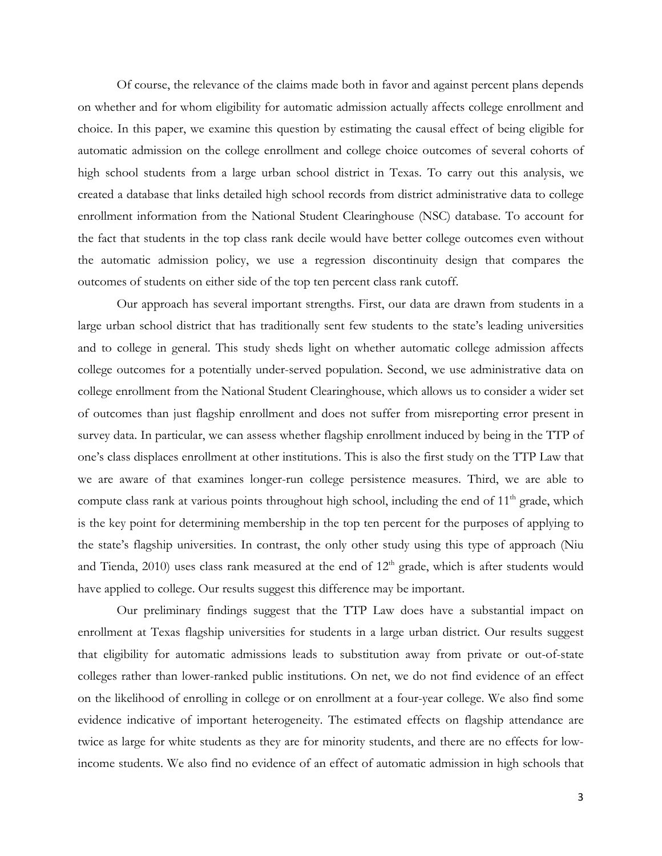Of course, the relevance of the claims made both in favor and against percent plans depends on whether and for whom eligibility for automatic admission actually affects college enrollment and choice. In this paper, we examine this question by estimating the causal effect of being eligible for automatic admission on the college enrollment and college choice outcomes of several cohorts of high school students from a large urban school district in Texas. To carry out this analysis, we created a database that links detailed high school records from district administrative data to college enrollment information from the National Student Clearinghouse (NSC) database. To account for the fact that students in the top class rank decile would have better college outcomes even without the automatic admission policy, we use a regression discontinuity design that compares the outcomes of students on either side of the top ten percent class rank cutoff.

Our approach has several important strengths. First, our data are drawn from students in a large urban school district that has traditionally sent few students to the state's leading universities and to college in general. This study sheds light on whether automatic college admission affects college outcomes for a potentially under-served population. Second, we use administrative data on college enrollment from the National Student Clearinghouse, which allows us to consider a wider set of outcomes than just flagship enrollment and does not suffer from misreporting error present in survey data. In particular, we can assess whether flagship enrollment induced by being in the TTP of one's class displaces enrollment at other institutions. This is also the first study on the TTP Law that we are aware of that examines longer-run college persistence measures. Third, we are able to compute class rank at various points throughout high school, including the end of 11<sup>th</sup> grade, which is the key point for determining membership in the top ten percent for the purposes of applying to the state's flagship universities. In contrast, the only other study using this type of approach (Niu and Tienda,  $2010$ ) uses class rank measured at the end of  $12<sup>th</sup>$  grade, which is after students would have applied to college. Our results suggest this difference may be important.

Our preliminary findings suggest that the TTP Law does have a substantial impact on enrollment at Texas flagship universities for students in a large urban district. Our results suggest that eligibility for automatic admissions leads to substitution away from private or out-of-state colleges rather than lower-ranked public institutions. On net, we do not find evidence of an effect on the likelihood of enrolling in college or on enrollment at a four-year college. We also find some evidence indicative of important heterogeneity. The estimated effects on flagship attendance are twice as large for white students as they are for minority students, and there are no effects for lowincome students. We also find no evidence of an effect of automatic admission in high schools that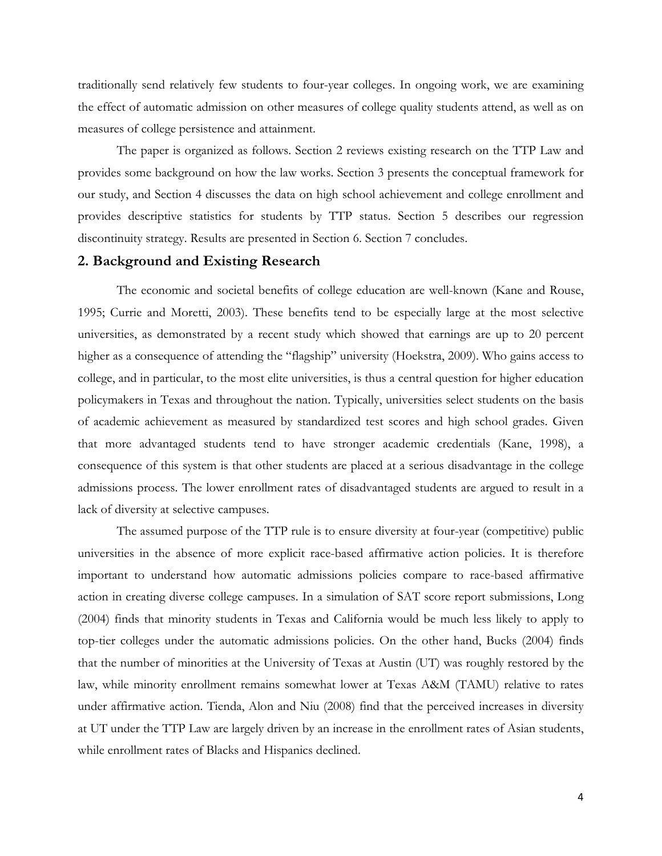traditionally send relatively few students to four-year colleges. In ongoing work, we are examining the effect of automatic admission on other measures of college quality students attend, as well as on measures of college persistence and attainment.

The paper is organized as follows. Section 2 reviews existing research on the TTP Law and provides some background on how the law works. Section 3 presents the conceptual framework for our study, and Section 4 discusses the data on high school achievement and college enrollment and provides descriptive statistics for students by TTP status. Section 5 describes our regression discontinuity strategy. Results are presented in Section 6. Section 7 concludes.

#### **2. Background and Existing Research**

The economic and societal benefits of college education are well-known (Kane and Rouse, 1995; Currie and Moretti, 2003). These benefits tend to be especially large at the most selective universities, as demonstrated by a recent study which showed that earnings are up to 20 percent higher as a consequence of attending the "flagship" university (Hoekstra, 2009). Who gains access to college, and in particular, to the most elite universities, is thus a central question for higher education policymakers in Texas and throughout the nation. Typically, universities select students on the basis of academic achievement as measured by standardized test scores and high school grades. Given that more advantaged students tend to have stronger academic credentials (Kane, 1998), a consequence of this system is that other students are placed at a serious disadvantage in the college admissions process. The lower enrollment rates of disadvantaged students are argued to result in a lack of diversity at selective campuses.

The assumed purpose of the TTP rule is to ensure diversity at four-year (competitive) public universities in the absence of more explicit race-based affirmative action policies. It is therefore important to understand how automatic admissions policies compare to race-based affirmative action in creating diverse college campuses. In a simulation of SAT score report submissions, Long (2004) finds that minority students in Texas and California would be much less likely to apply to top-tier colleges under the automatic admissions policies. On the other hand, Bucks (2004) finds that the number of minorities at the University of Texas at Austin (UT) was roughly restored by the law, while minority enrollment remains somewhat lower at Texas A&M (TAMU) relative to rates under affirmative action. Tienda, Alon and Niu (2008) find that the perceived increases in diversity at UT under the TTP Law are largely driven by an increase in the enrollment rates of Asian students, while enrollment rates of Blacks and Hispanics declined.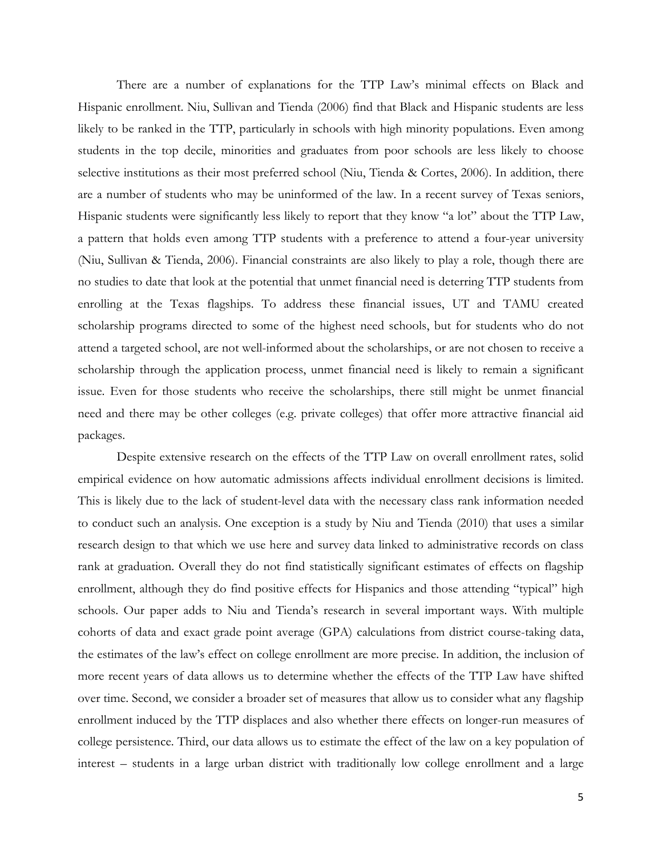There are a number of explanations for the TTP Law's minimal effects on Black and Hispanic enrollment. Niu, Sullivan and Tienda (2006) find that Black and Hispanic students are less likely to be ranked in the TTP, particularly in schools with high minority populations. Even among students in the top decile, minorities and graduates from poor schools are less likely to choose selective institutions as their most preferred school (Niu, Tienda & Cortes, 2006). In addition, there are a number of students who may be uninformed of the law. In a recent survey of Texas seniors, Hispanic students were significantly less likely to report that they know "a lot" about the TTP Law, a pattern that holds even among TTP students with a preference to attend a four-year university (Niu, Sullivan & Tienda, 2006). Financial constraints are also likely to play a role, though there are no studies to date that look at the potential that unmet financial need is deterring TTP students from enrolling at the Texas flagships. To address these financial issues, UT and TAMU created scholarship programs directed to some of the highest need schools, but for students who do not attend a targeted school, are not well-informed about the scholarships, or are not chosen to receive a scholarship through the application process, unmet financial need is likely to remain a significant issue. Even for those students who receive the scholarships, there still might be unmet financial need and there may be other colleges (e.g. private colleges) that offer more attractive financial aid packages.

Despite extensive research on the effects of the TTP Law on overall enrollment rates, solid empirical evidence on how automatic admissions affects individual enrollment decisions is limited. This is likely due to the lack of student-level data with the necessary class rank information needed to conduct such an analysis. One exception is a study by Niu and Tienda (2010) that uses a similar research design to that which we use here and survey data linked to administrative records on class rank at graduation. Overall they do not find statistically significant estimates of effects on flagship enrollment, although they do find positive effects for Hispanics and those attending "typical" high schools. Our paper adds to Niu and Tienda's research in several important ways. With multiple cohorts of data and exact grade point average (GPA) calculations from district course-taking data, the estimates of the law's effect on college enrollment are more precise. In addition, the inclusion of more recent years of data allows us to determine whether the effects of the TTP Law have shifted over time. Second, we consider a broader set of measures that allow us to consider what any flagship enrollment induced by the TTP displaces and also whether there effects on longer-run measures of college persistence. Third, our data allows us to estimate the effect of the law on a key population of interest – students in a large urban district with traditionally low college enrollment and a large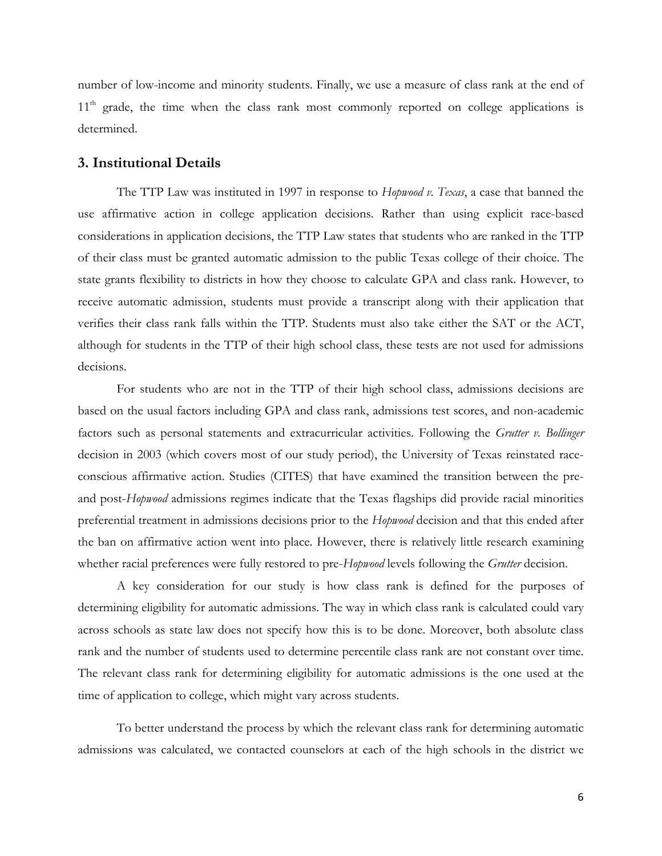number of low-income and minority students. Finally, we use a measure of class rank at the end of 11<sup>th</sup> grade, the time when the class rank most commonly reported on college applications is determined.

#### **3. Institutional Details**

The TTP Law was instituted in 1997 in response to *Hopwood v. Texas*, a case that banned the use affirmative action in college application decisions. Rather than using explicit race-based considerations in application decisions, the TTP Law states that students who are ranked in the TTP of their class must be granted automatic admission to the public Texas college of their choice. The state grants flexibility to districts in how they choose to calculate GPA and class rank. However, to receive automatic admission, students must provide a transcript along with their application that verifies their class rank falls within the TTP. Students must also take either the SAT or the ACT, although for students in the TTP of their high school class, these tests are not used for admissions decisions.

For students who are not in the TTP of their high school class, admissions decisions are based on the usual factors including GPA and class rank, admissions test scores, and non-academic factors such as personal statements and extracurricular activities. Following the *Grutter v. Bollinger* decision in 2003 (which covers most of our study period), the University of Texas reinstated raceconscious affirmative action. Studies (CITES) that have examined the transition between the preand post-*Hopwood* admissions regimes indicate that the Texas flagships did provide racial minorities preferential treatment in admissions decisions prior to the *Hopwood* decision and that this ended after the ban on affirmative action went into place. However, there is relatively little research examining whether racial preferences were fully restored to pre-*Hopwood* levels following the *Grutter* decision.

A key consideration for our study is how class rank is defined for the purposes of determining eligibility for automatic admissions. The way in which class rank is calculated could vary across schools as state law does not specify how this is to be done. Moreover, both absolute class rank and the number of students used to determine percentile class rank are not constant over time. The relevant class rank for determining eligibility for automatic admissions is the one used at the time of application to college, which might vary across students.

To better understand the process by which the relevant class rank for determining automatic admissions was calculated, we contacted counselors at each of the high schools in the district we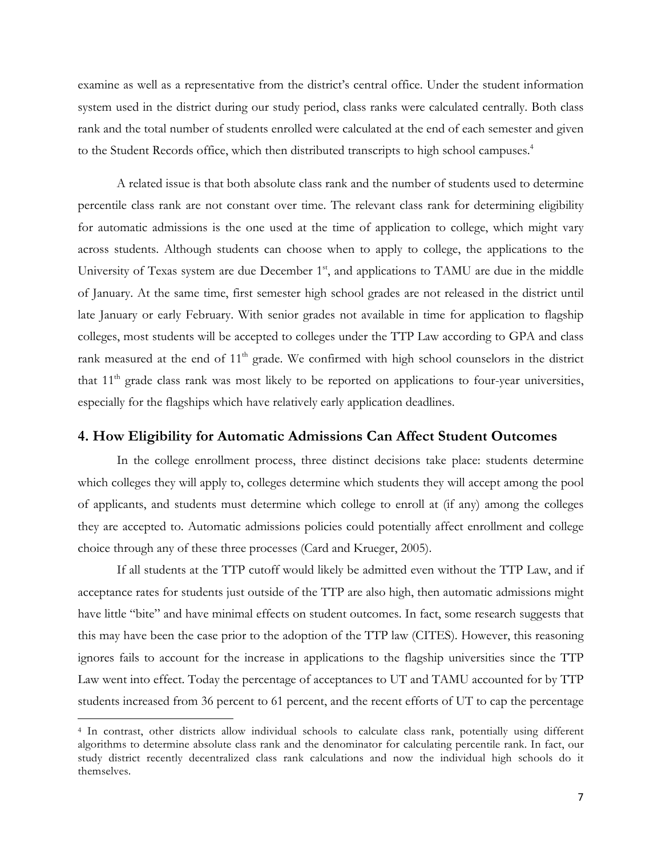examine as well as a representative from the district's central office. Under the student information system used in the district during our study period, class ranks were calculated centrally. Both class rank and the total number of students enrolled were calculated at the end of each semester and given to the Student Records office, which then distributed transcripts to high school campuses.<sup>4</sup>

A related issue is that both absolute class rank and the number of students used to determine percentile class rank are not constant over time. The relevant class rank for determining eligibility for automatic admissions is the one used at the time of application to college, which might vary across students. Although students can choose when to apply to college, the applications to the University of Texas system are due December 1<sup>st</sup>, and applications to TAMU are due in the middle of January. At the same time, first semester high school grades are not released in the district until late January or early February. With senior grades not available in time for application to flagship colleges, most students will be accepted to colleges under the TTP Law according to GPA and class rank measured at the end of  $11<sup>th</sup>$  grade. We confirmed with high school counselors in the district that  $11<sup>th</sup>$  grade class rank was most likely to be reported on applications to four-year universities, especially for the flagships which have relatively early application deadlines.

#### **4. How Eligibility for Automatic Admissions Can Affect Student Outcomes**

In the college enrollment process, three distinct decisions take place: students determine which colleges they will apply to, colleges determine which students they will accept among the pool of applicants, and students must determine which college to enroll at (if any) among the colleges they are accepted to. Automatic admissions policies could potentially affect enrollment and college choice through any of these three processes (Card and Krueger, 2005).

If all students at the TTP cutoff would likely be admitted even without the TTP Law, and if acceptance rates for students just outside of the TTP are also high, then automatic admissions might have little "bite" and have minimal effects on student outcomes. In fact, some research suggests that this may have been the case prior to the adoption of the TTP law (CITES). However, this reasoning ignores fails to account for the increase in applications to the flagship universities since the TTP Law went into effect. Today the percentage of acceptances to UT and TAMU accounted for by TTP students increased from 36 percent to 61 percent, and the recent efforts of UT to cap the percentage

!!!!!!!!!!!!!!!!!!!!!!!!!!!!!!!!!!!!!!!!!!!!!!!!!!!!!!!!!!!!

<sup>4</sup> In contrast, other districts allow individual schools to calculate class rank, potentially using different algorithms to determine absolute class rank and the denominator for calculating percentile rank. In fact, our study district recently decentralized class rank calculations and now the individual high schools do it themselves.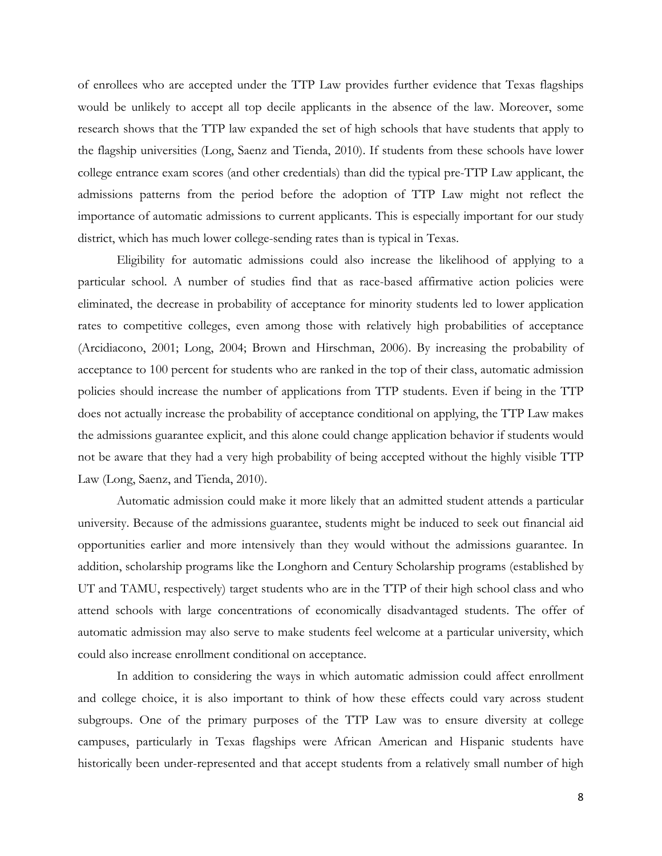of enrollees who are accepted under the TTP Law provides further evidence that Texas flagships would be unlikely to accept all top decile applicants in the absence of the law. Moreover, some research shows that the TTP law expanded the set of high schools that have students that apply to the flagship universities (Long, Saenz and Tienda, 2010). If students from these schools have lower college entrance exam scores (and other credentials) than did the typical pre-TTP Law applicant, the admissions patterns from the period before the adoption of TTP Law might not reflect the importance of automatic admissions to current applicants. This is especially important for our study district, which has much lower college-sending rates than is typical in Texas.

Eligibility for automatic admissions could also increase the likelihood of applying to a particular school. A number of studies find that as race-based affirmative action policies were eliminated, the decrease in probability of acceptance for minority students led to lower application rates to competitive colleges, even among those with relatively high probabilities of acceptance (Arcidiacono, 2001; Long, 2004; Brown and Hirschman, 2006). By increasing the probability of acceptance to 100 percent for students who are ranked in the top of their class, automatic admission policies should increase the number of applications from TTP students. Even if being in the TTP does not actually increase the probability of acceptance conditional on applying, the TTP Law makes the admissions guarantee explicit, and this alone could change application behavior if students would not be aware that they had a very high probability of being accepted without the highly visible TTP Law (Long, Saenz, and Tienda, 2010).

Automatic admission could make it more likely that an admitted student attends a particular university. Because of the admissions guarantee, students might be induced to seek out financial aid opportunities earlier and more intensively than they would without the admissions guarantee. In addition, scholarship programs like the Longhorn and Century Scholarship programs (established by UT and TAMU, respectively) target students who are in the TTP of their high school class and who attend schools with large concentrations of economically disadvantaged students. The offer of automatic admission may also serve to make students feel welcome at a particular university, which could also increase enrollment conditional on acceptance.

In addition to considering the ways in which automatic admission could affect enrollment and college choice, it is also important to think of how these effects could vary across student subgroups. One of the primary purposes of the TTP Law was to ensure diversity at college campuses, particularly in Texas flagships were African American and Hispanic students have historically been under-represented and that accept students from a relatively small number of high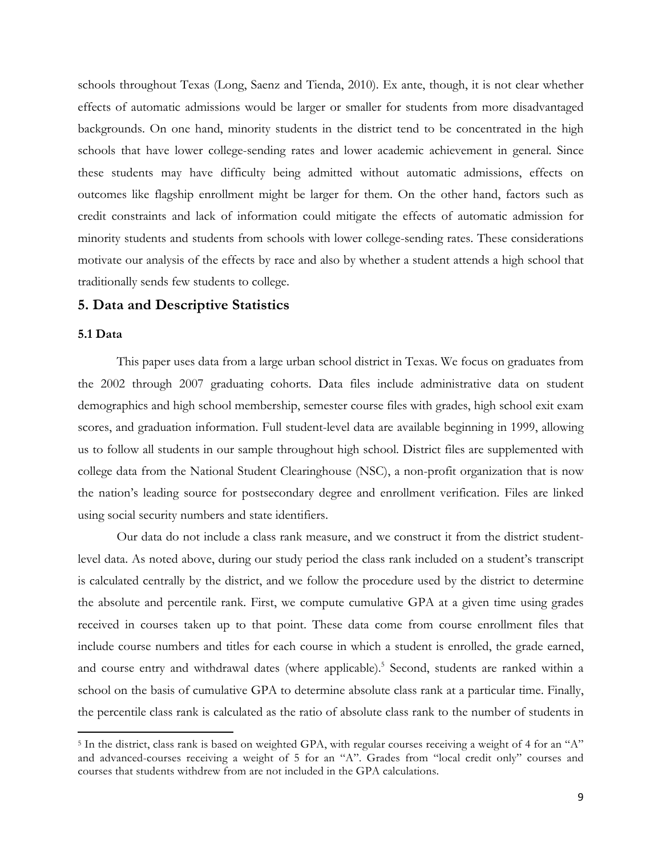schools throughout Texas (Long, Saenz and Tienda, 2010). Ex ante, though, it is not clear whether effects of automatic admissions would be larger or smaller for students from more disadvantaged backgrounds. On one hand, minority students in the district tend to be concentrated in the high schools that have lower college-sending rates and lower academic achievement in general. Since these students may have difficulty being admitted without automatic admissions, effects on outcomes like flagship enrollment might be larger for them. On the other hand, factors such as credit constraints and lack of information could mitigate the effects of automatic admission for minority students and students from schools with lower college-sending rates. These considerations motivate our analysis of the effects by race and also by whether a student attends a high school that traditionally sends few students to college.

#### **5. Data and Descriptive Statistics**

!!!!!!!!!!!!!!!!!!!!!!!!!!!!!!!!!!!!!!!!!!!!!!!!!!!!!!!!!!!!

### **5.1 Data**

This paper uses data from a large urban school district in Texas. We focus on graduates from the 2002 through 2007 graduating cohorts. Data files include administrative data on student demographics and high school membership, semester course files with grades, high school exit exam scores, and graduation information. Full student-level data are available beginning in 1999, allowing us to follow all students in our sample throughout high school. District files are supplemented with college data from the National Student Clearinghouse (NSC), a non-profit organization that is now the nation's leading source for postsecondary degree and enrollment verification. Files are linked using social security numbers and state identifiers.

Our data do not include a class rank measure, and we construct it from the district studentlevel data. As noted above, during our study period the class rank included on a student's transcript is calculated centrally by the district, and we follow the procedure used by the district to determine the absolute and percentile rank. First, we compute cumulative GPA at a given time using grades received in courses taken up to that point. These data come from course enrollment files that include course numbers and titles for each course in which a student is enrolled, the grade earned, and course entry and withdrawal dates (where applicable).<sup>5</sup> Second, students are ranked within a school on the basis of cumulative GPA to determine absolute class rank at a particular time. Finally, the percentile class rank is calculated as the ratio of absolute class rank to the number of students in

<sup>5</sup> In the district, class rank is based on weighted GPA, with regular courses receiving a weight of 4 for an "A" and advanced-courses receiving a weight of 5 for an "A". Grades from "local credit only" courses and courses that students withdrew from are not included in the GPA calculations.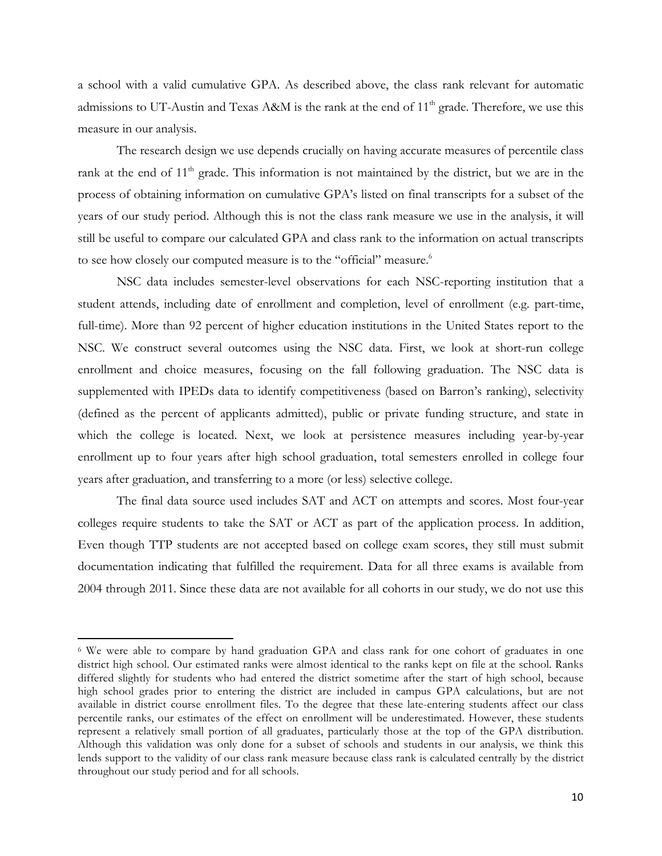a school with a valid cumulative GPA. As described above, the class rank relevant for automatic admissions to UT-Austin and Texas A&M is the rank at the end of 11<sup>th</sup> grade. Therefore, we use this measure in our analysis.

The research design we use depends crucially on having accurate measures of percentile class rank at the end of  $11<sup>th</sup>$  grade. This information is not maintained by the district, but we are in the process of obtaining information on cumulative GPA's listed on final transcripts for a subset of the years of our study period. Although this is not the class rank measure we use in the analysis, it will still be useful to compare our calculated GPA and class rank to the information on actual transcripts to see how closely our computed measure is to the "official" measure.<sup>6</sup>

NSC data includes semester-level observations for each NSC-reporting institution that a student attends, including date of enrollment and completion, level of enrollment (e.g. part-time, full-time). More than 92 percent of higher education institutions in the United States report to the NSC. We construct several outcomes using the NSC data. First, we look at short-run college enrollment and choice measures, focusing on the fall following graduation. The NSC data is supplemented with IPEDs data to identify competitiveness (based on Barron's ranking), selectivity (defined as the percent of applicants admitted), public or private funding structure, and state in which the college is located. Next, we look at persistence measures including year-by-year enrollment up to four years after high school graduation, total semesters enrolled in college four years after graduation, and transferring to a more (or less) selective college.

The final data source used includes SAT and ACT on attempts and scores. Most four-year colleges require students to take the SAT or ACT as part of the application process. In addition, Even though TTP students are not accepted based on college exam scores, they still must submit documentation indicating that fulfilled the requirement. Data for all three exams is available from 2004 through 2011. Since these data are not available for all cohorts in our study, we do not use this

!!!!!!!!!!!!!!!!!!!!!!!!!!!!!!!!!!!!!!!!!!!!!!!!!!!!!!!!!!!!

<sup>&</sup>lt;sup>6</sup> We were able to compare by hand graduation GPA and class rank for one cohort of graduates in one district high school. Our estimated ranks were almost identical to the ranks kept on file at the school. Ranks differed slightly for students who had entered the district sometime after the start of high school, because high school grades prior to entering the district are included in campus GPA calculations, but are not available in district course enrollment files. To the degree that these late-entering students affect our class percentile ranks, our estimates of the effect on enrollment will be underestimated. However, these students represent a relatively small portion of all graduates, particularly those at the top of the GPA distribution. Although this validation was only done for a subset of schools and students in our analysis, we think this lends support to the validity of our class rank measure because class rank is calculated centrally by the district throughout our study period and for all schools.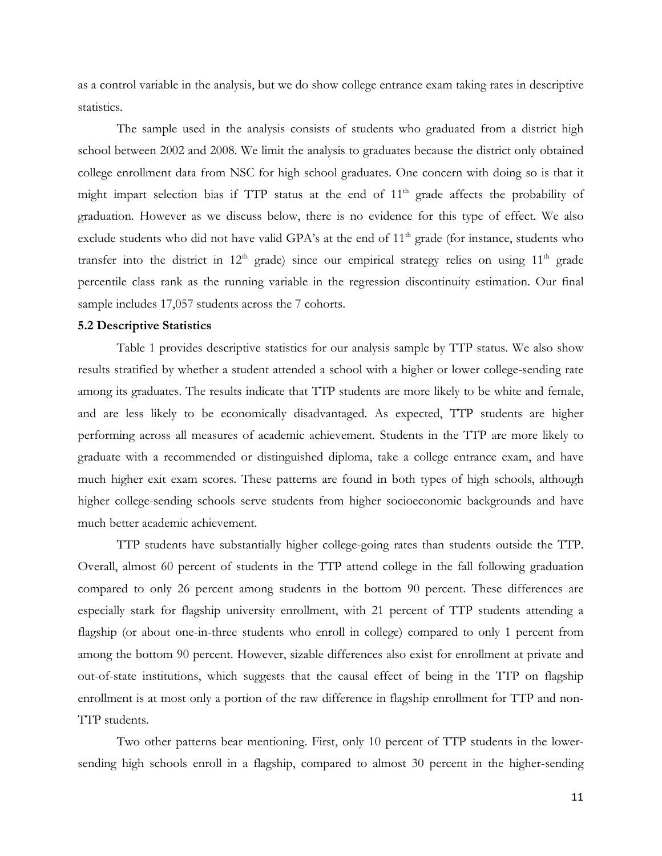as a control variable in the analysis, but we do show college entrance exam taking rates in descriptive statistics.

The sample used in the analysis consists of students who graduated from a district high school between 2002 and 2008. We limit the analysis to graduates because the district only obtained college enrollment data from NSC for high school graduates. One concern with doing so is that it might impart selection bias if  $TTP$  status at the end of  $11<sup>th</sup>$  grade affects the probability of graduation. However as we discuss below, there is no evidence for this type of effect. We also exclude students who did not have valid GPA's at the end of  $11<sup>th</sup>$  grade (for instance, students who transfer into the district in  $12<sup>th</sup>$  grade) since our empirical strategy relies on using  $11<sup>th</sup>$  grade percentile class rank as the running variable in the regression discontinuity estimation. Our final sample includes 17,057 students across the 7 cohorts.

#### **5.2 Descriptive Statistics**

Table 1 provides descriptive statistics for our analysis sample by TTP status. We also show results stratified by whether a student attended a school with a higher or lower college-sending rate among its graduates. The results indicate that TTP students are more likely to be white and female, and are less likely to be economically disadvantaged. As expected, TTP students are higher performing across all measures of academic achievement. Students in the TTP are more likely to graduate with a recommended or distinguished diploma, take a college entrance exam, and have much higher exit exam scores. These patterns are found in both types of high schools, although higher college-sending schools serve students from higher socioeconomic backgrounds and have much better academic achievement.

TTP students have substantially higher college-going rates than students outside the TTP. Overall, almost 60 percent of students in the TTP attend college in the fall following graduation compared to only 26 percent among students in the bottom 90 percent. These differences are especially stark for flagship university enrollment, with 21 percent of TTP students attending a flagship (or about one-in-three students who enroll in college) compared to only 1 percent from among the bottom 90 percent. However, sizable differences also exist for enrollment at private and out-of-state institutions, which suggests that the causal effect of being in the TTP on flagship enrollment is at most only a portion of the raw difference in flagship enrollment for TTP and non-TTP students.

Two other patterns bear mentioning. First, only 10 percent of TTP students in the lowersending high schools enroll in a flagship, compared to almost 30 percent in the higher-sending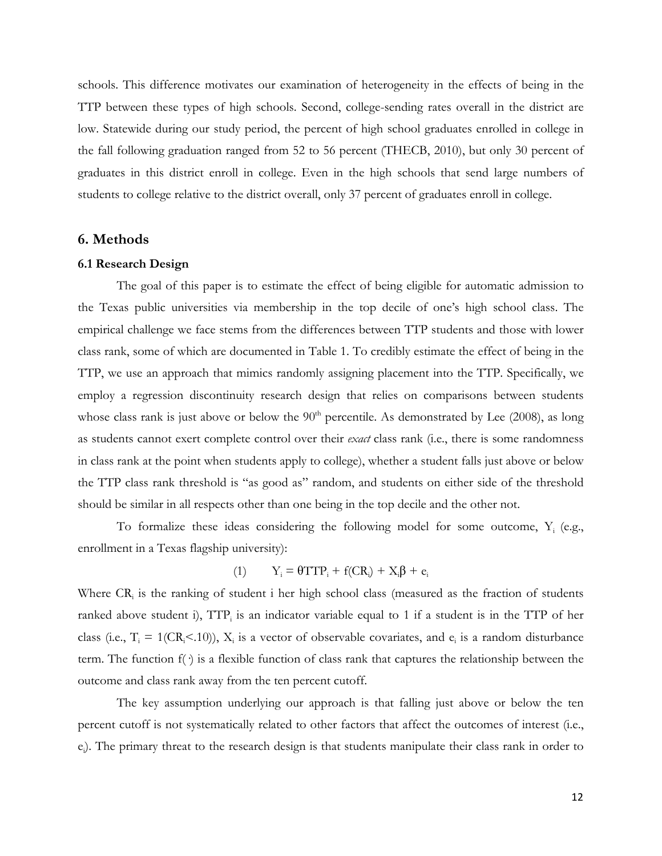schools. This difference motivates our examination of heterogeneity in the effects of being in the TTP between these types of high schools. Second, college-sending rates overall in the district are low. Statewide during our study period, the percent of high school graduates enrolled in college in the fall following graduation ranged from 52 to 56 percent (THECB, 2010), but only 30 percent of graduates in this district enroll in college. Even in the high schools that send large numbers of students to college relative to the district overall, only 37 percent of graduates enroll in college.

#### **6. Methods**

#### **6.1 Research Design**

The goal of this paper is to estimate the effect of being eligible for automatic admission to the Texas public universities via membership in the top decile of one's high school class. The empirical challenge we face stems from the differences between TTP students and those with lower class rank, some of which are documented in Table 1. To credibly estimate the effect of being in the TTP, we use an approach that mimics randomly assigning placement into the TTP. Specifically, we employ a regression discontinuity research design that relies on comparisons between students whose class rank is just above or below the  $90<sup>th</sup>$  percentile. As demonstrated by Lee (2008), as long as students cannot exert complete control over their *exact* class rank (i.e., there is some randomness in class rank at the point when students apply to college), whether a student falls just above or below the TTP class rank threshold is "as good as" random, and students on either side of the threshold should be similar in all respects other than one being in the top decile and the other not.

To formalize these ideas considering the following model for some outcome,  $Y_i$  (e.g., enrollment in a Texas flagship university):

(1) 
$$
Y_i = \theta T T P_i + f(CR_i) + X_i \beta + e_i
$$

Where  $CR<sub>i</sub>$  is the ranking of student i her high school class (measured as the fraction of students ranked above student i),  $TTP_i$  is an indicator variable equal to 1 if a student is in the TTP of her class (i.e.,  $T_i = 1(CR_i < 10)$ ),  $X_i$  is a vector of observable covariates, and  $e_i$  is a random disturbance term. The function  $f(\cdot)$  is a flexible function of class rank that captures the relationship between the outcome and class rank away from the ten percent cutoff.

The key assumption underlying our approach is that falling just above or below the ten percent cutoff is not systematically related to other factors that affect the outcomes of interest (i.e., e<sub>i</sub>). The primary threat to the research design is that students manipulate their class rank in order to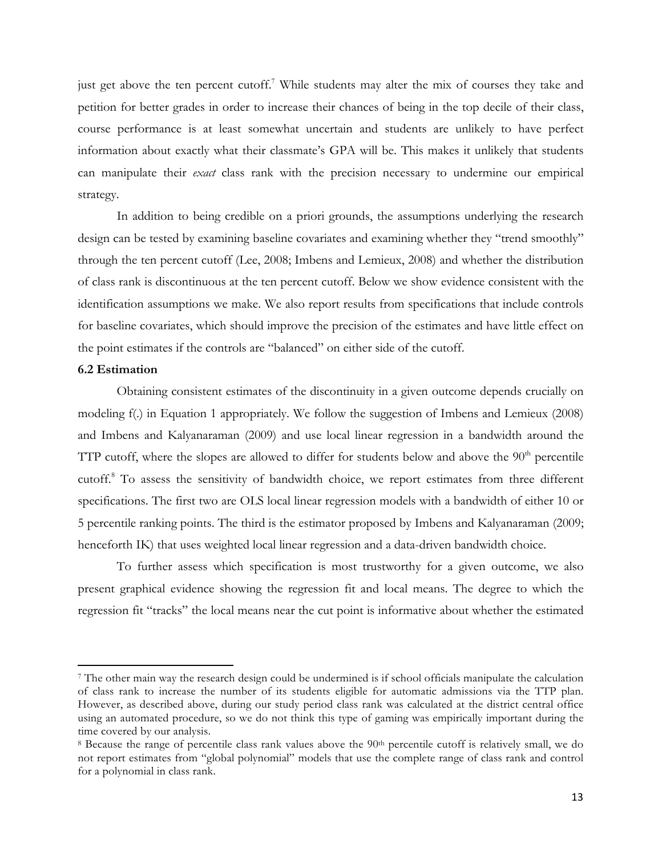just get above the ten percent cutoff.<sup>7</sup> While students may alter the mix of courses they take and petition for better grades in order to increase their chances of being in the top decile of their class, course performance is at least somewhat uncertain and students are unlikely to have perfect information about exactly what their classmate's GPA will be. This makes it unlikely that students can manipulate their *exact* class rank with the precision necessary to undermine our empirical strategy.

In addition to being credible on a priori grounds, the assumptions underlying the research design can be tested by examining baseline covariates and examining whether they "trend smoothly" through the ten percent cutoff (Lee, 2008; Imbens and Lemieux, 2008) and whether the distribution of class rank is discontinuous at the ten percent cutoff. Below we show evidence consistent with the identification assumptions we make. We also report results from specifications that include controls for baseline covariates, which should improve the precision of the estimates and have little effect on the point estimates if the controls are "balanced" on either side of the cutoff.

#### **6.2 Estimation**

!!!!!!!!!!!!!!!!!!!!!!!!!!!!!!!!!!!!!!!!!!!!!!!!!!!!!!!!!!!!

Obtaining consistent estimates of the discontinuity in a given outcome depends crucially on modeling f(.) in Equation 1 appropriately. We follow the suggestion of Imbens and Lemieux (2008) and Imbens and Kalyanaraman (2009) and use local linear regression in a bandwidth around the TTP cutoff, where the slopes are allowed to differ for students below and above the  $90<sup>th</sup>$  percentile cutoff.8 To assess the sensitivity of bandwidth choice, we report estimates from three different specifications. The first two are OLS local linear regression models with a bandwidth of either 10 or 5 percentile ranking points. The third is the estimator proposed by Imbens and Kalyanaraman (2009; henceforth IK) that uses weighted local linear regression and a data-driven bandwidth choice.

To further assess which specification is most trustworthy for a given outcome, we also present graphical evidence showing the regression fit and local means. The degree to which the regression fit "tracks" the local means near the cut point is informative about whether the estimated

<sup>7</sup> The other main way the research design could be undermined is if school officials manipulate the calculation of class rank to increase the number of its students eligible for automatic admissions via the TTP plan. However, as described above, during our study period class rank was calculated at the district central office using an automated procedure, so we do not think this type of gaming was empirically important during the time covered by our analysis.

<sup>&</sup>lt;sup>8</sup> Because the range of percentile class rank values above the 90<sup>th</sup> percentile cutoff is relatively small, we do not report estimates from "global polynomial" models that use the complete range of class rank and control for a polynomial in class rank.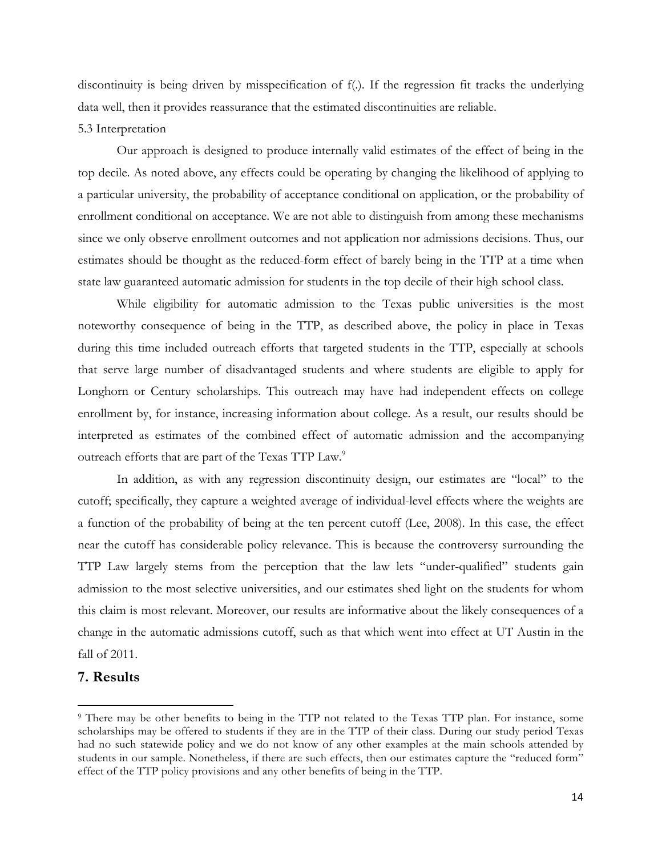discontinuity is being driven by misspecification of f(.). If the regression fit tracks the underlying data well, then it provides reassurance that the estimated discontinuities are reliable.

#### 5.3 Interpretation

Our approach is designed to produce internally valid estimates of the effect of being in the top decile. As noted above, any effects could be operating by changing the likelihood of applying to a particular university, the probability of acceptance conditional on application, or the probability of enrollment conditional on acceptance. We are not able to distinguish from among these mechanisms since we only observe enrollment outcomes and not application nor admissions decisions. Thus, our estimates should be thought as the reduced-form effect of barely being in the TTP at a time when state law guaranteed automatic admission for students in the top decile of their high school class.

While eligibility for automatic admission to the Texas public universities is the most noteworthy consequence of being in the TTP, as described above, the policy in place in Texas during this time included outreach efforts that targeted students in the TTP, especially at schools that serve large number of disadvantaged students and where students are eligible to apply for Longhorn or Century scholarships. This outreach may have had independent effects on college enrollment by, for instance, increasing information about college. As a result, our results should be interpreted as estimates of the combined effect of automatic admission and the accompanying outreach efforts that are part of the Texas TTP Law.<sup>9</sup>

In addition, as with any regression discontinuity design, our estimates are "local" to the cutoff; specifically, they capture a weighted average of individual-level effects where the weights are a function of the probability of being at the ten percent cutoff (Lee, 2008). In this case, the effect near the cutoff has considerable policy relevance. This is because the controversy surrounding the TTP Law largely stems from the perception that the law lets "under-qualified" students gain admission to the most selective universities, and our estimates shed light on the students for whom this claim is most relevant. Moreover, our results are informative about the likely consequences of a change in the automatic admissions cutoff, such as that which went into effect at UT Austin in the fall of 2011.

## **7. Results**

!!!!!!!!!!!!!!!!!!!!!!!!!!!!!!!!!!!!!!!!!!!!!!!!!!!!!!!!!!!!

<sup>9</sup> There may be other benefits to being in the TTP not related to the Texas TTP plan. For instance, some scholarships may be offered to students if they are in the TTP of their class. During our study period Texas had no such statewide policy and we do not know of any other examples at the main schools attended by students in our sample. Nonetheless, if there are such effects, then our estimates capture the "reduced form" effect of the TTP policy provisions and any other benefits of being in the TTP.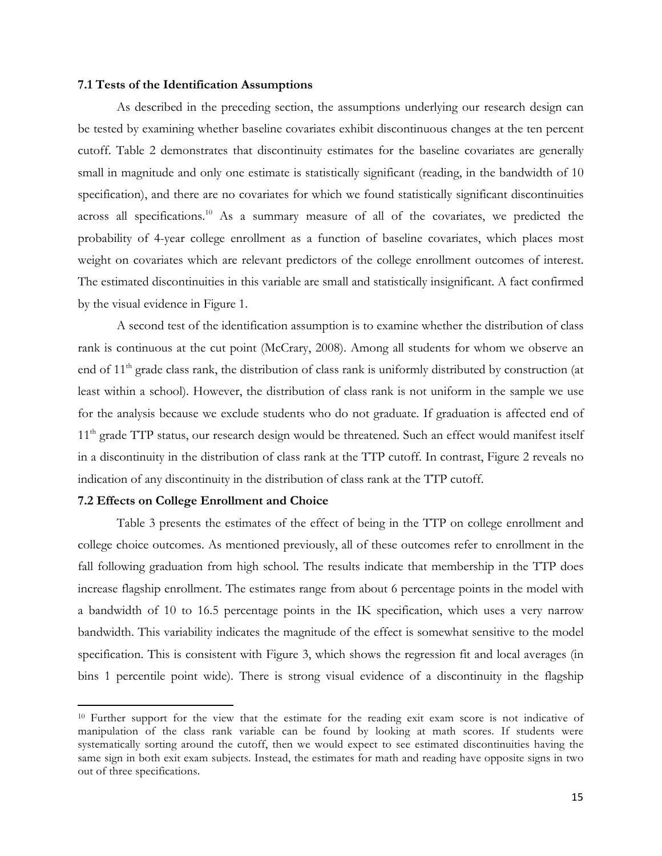#### **7.1 Tests of the Identification Assumptions**

As described in the preceding section, the assumptions underlying our research design can be tested by examining whether baseline covariates exhibit discontinuous changes at the ten percent cutoff. Table 2 demonstrates that discontinuity estimates for the baseline covariates are generally small in magnitude and only one estimate is statistically significant (reading, in the bandwidth of 10 specification), and there are no covariates for which we found statistically significant discontinuities across all specifications.10 As a summary measure of all of the covariates, we predicted the probability of 4-year college enrollment as a function of baseline covariates, which places most weight on covariates which are relevant predictors of the college enrollment outcomes of interest. The estimated discontinuities in this variable are small and statistically insignificant. A fact confirmed by the visual evidence in Figure 1.

A second test of the identification assumption is to examine whether the distribution of class rank is continuous at the cut point (McCrary, 2008). Among all students for whom we observe an end of 11<sup>th</sup> grade class rank, the distribution of class rank is uniformly distributed by construction (at least within a school). However, the distribution of class rank is not uniform in the sample we use for the analysis because we exclude students who do not graduate. If graduation is affected end of 11<sup>th</sup> grade TTP status, our research design would be threatened. Such an effect would manifest itself in a discontinuity in the distribution of class rank at the TTP cutoff. In contrast, Figure 2 reveals no indication of any discontinuity in the distribution of class rank at the TTP cutoff.

#### **7.2 Effects on College Enrollment and Choice**

!!!!!!!!!!!!!!!!!!!!!!!!!!!!!!!!!!!!!!!!!!!!!!!!!!!!!!!!!!!!

Table 3 presents the estimates of the effect of being in the TTP on college enrollment and college choice outcomes. As mentioned previously, all of these outcomes refer to enrollment in the fall following graduation from high school. The results indicate that membership in the TTP does increase flagship enrollment. The estimates range from about 6 percentage points in the model with a bandwidth of 10 to 16.5 percentage points in the IK specification, which uses a very narrow bandwidth. This variability indicates the magnitude of the effect is somewhat sensitive to the model specification. This is consistent with Figure 3, which shows the regression fit and local averages (in bins 1 percentile point wide). There is strong visual evidence of a discontinuity in the flagship

<sup>10</sup> Further support for the view that the estimate for the reading exit exam score is not indicative of manipulation of the class rank variable can be found by looking at math scores. If students were systematically sorting around the cutoff, then we would expect to see estimated discontinuities having the same sign in both exit exam subjects. Instead, the estimates for math and reading have opposite signs in two out of three specifications.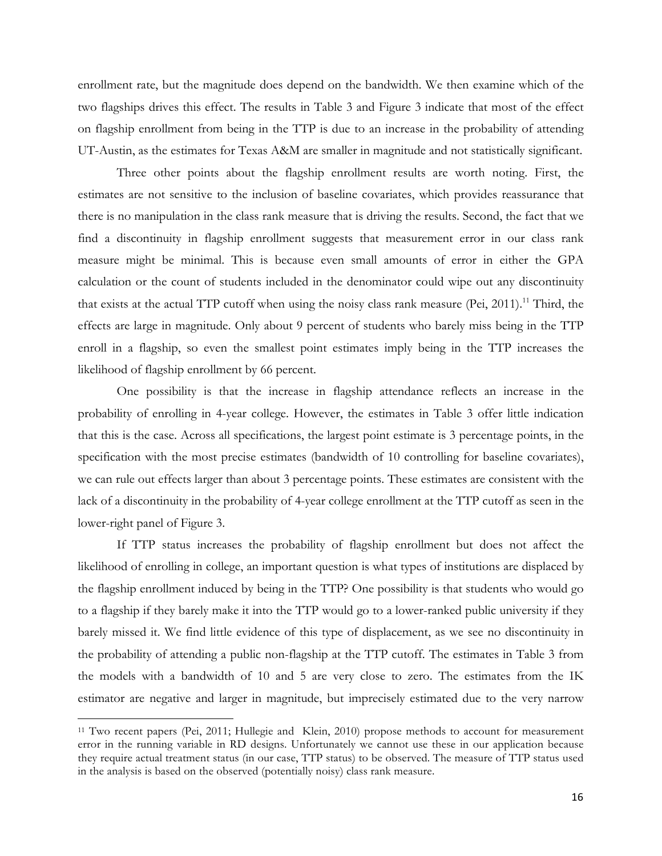enrollment rate, but the magnitude does depend on the bandwidth. We then examine which of the two flagships drives this effect. The results in Table 3 and Figure 3 indicate that most of the effect on flagship enrollment from being in the TTP is due to an increase in the probability of attending UT-Austin, as the estimates for Texas A&M are smaller in magnitude and not statistically significant.

Three other points about the flagship enrollment results are worth noting. First, the estimates are not sensitive to the inclusion of baseline covariates, which provides reassurance that there is no manipulation in the class rank measure that is driving the results. Second, the fact that we find a discontinuity in flagship enrollment suggests that measurement error in our class rank measure might be minimal. This is because even small amounts of error in either the GPA calculation or the count of students included in the denominator could wipe out any discontinuity that exists at the actual TTP cutoff when using the noisy class rank measure (Pei, 2011).<sup>11</sup> Third, the effects are large in magnitude. Only about 9 percent of students who barely miss being in the TTP enroll in a flagship, so even the smallest point estimates imply being in the TTP increases the likelihood of flagship enrollment by 66 percent.

One possibility is that the increase in flagship attendance reflects an increase in the probability of enrolling in 4-year college. However, the estimates in Table 3 offer little indication that this is the case. Across all specifications, the largest point estimate is 3 percentage points, in the specification with the most precise estimates (bandwidth of 10 controlling for baseline covariates), we can rule out effects larger than about 3 percentage points. These estimates are consistent with the lack of a discontinuity in the probability of 4-year college enrollment at the TTP cutoff as seen in the lower-right panel of Figure 3.

If TTP status increases the probability of flagship enrollment but does not affect the likelihood of enrolling in college, an important question is what types of institutions are displaced by the flagship enrollment induced by being in the TTP? One possibility is that students who would go to a flagship if they barely make it into the TTP would go to a lower-ranked public university if they barely missed it. We find little evidence of this type of displacement, as we see no discontinuity in the probability of attending a public non-flagship at the TTP cutoff. The estimates in Table 3 from the models with a bandwidth of 10 and 5 are very close to zero. The estimates from the IK estimator are negative and larger in magnitude, but imprecisely estimated due to the very narrow

!!!!!!!!!!!!!!!!!!!!!!!!!!!!!!!!!!!!!!!!!!!!!!!!!!!!!!!!!!!!

<sup>11</sup> Two recent papers (Pei, 2011; Hullegie and Klein, 2010) propose methods to account for measurement error in the running variable in RD designs. Unfortunately we cannot use these in our application because they require actual treatment status (in our case, TTP status) to be observed. The measure of TTP status used in the analysis is based on the observed (potentially noisy) class rank measure.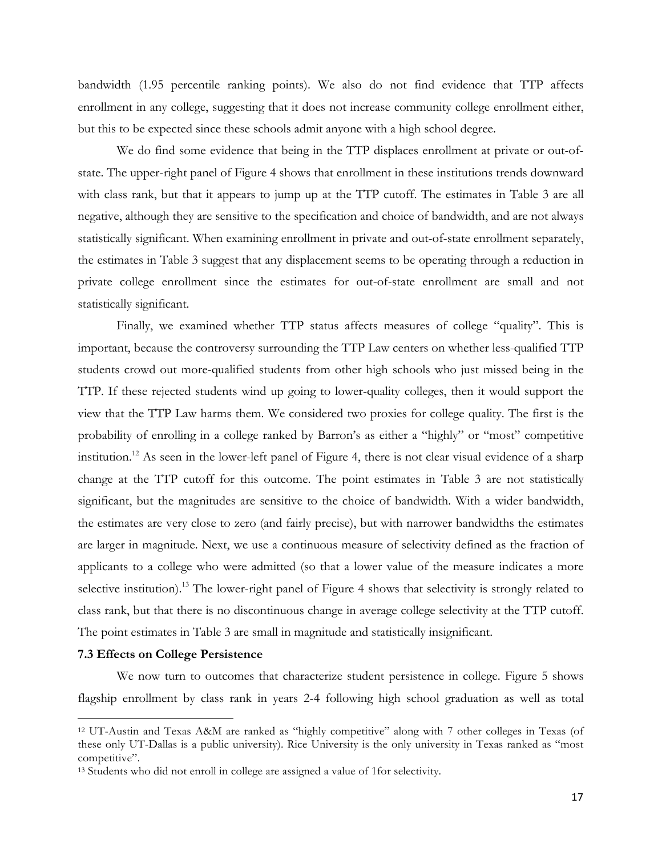bandwidth (1.95 percentile ranking points). We also do not find evidence that TTP affects enrollment in any college, suggesting that it does not increase community college enrollment either, but this to be expected since these schools admit anyone with a high school degree.

We do find some evidence that being in the TTP displaces enrollment at private or out-ofstate. The upper-right panel of Figure 4 shows that enrollment in these institutions trends downward with class rank, but that it appears to jump up at the TTP cutoff. The estimates in Table 3 are all negative, although they are sensitive to the specification and choice of bandwidth, and are not always statistically significant. When examining enrollment in private and out-of-state enrollment separately, the estimates in Table 3 suggest that any displacement seems to be operating through a reduction in private college enrollment since the estimates for out-of-state enrollment are small and not statistically significant.

Finally, we examined whether TTP status affects measures of college "quality". This is important, because the controversy surrounding the TTP Law centers on whether less-qualified TTP students crowd out more-qualified students from other high schools who just missed being in the TTP. If these rejected students wind up going to lower-quality colleges, then it would support the view that the TTP Law harms them. We considered two proxies for college quality. The first is the probability of enrolling in a college ranked by Barron's as either a "highly" or "most" competitive institution.<sup>12</sup> As seen in the lower-left panel of Figure 4, there is not clear visual evidence of a sharp change at the TTP cutoff for this outcome. The point estimates in Table 3 are not statistically significant, but the magnitudes are sensitive to the choice of bandwidth. With a wider bandwidth, the estimates are very close to zero (and fairly precise), but with narrower bandwidths the estimates are larger in magnitude. Next, we use a continuous measure of selectivity defined as the fraction of applicants to a college who were admitted (so that a lower value of the measure indicates a more selective institution).<sup>13</sup> The lower-right panel of Figure 4 shows that selectivity is strongly related to class rank, but that there is no discontinuous change in average college selectivity at the TTP cutoff. The point estimates in Table 3 are small in magnitude and statistically insignificant.

#### **7.3 Effects on College Persistence**

!!!!!!!!!!!!!!!!!!!!!!!!!!!!!!!!!!!!!!!!!!!!!!!!!!!!!!!!!!!!

We now turn to outcomes that characterize student persistence in college. Figure 5 shows flagship enrollment by class rank in years 2-4 following high school graduation as well as total

<sup>12</sup> UT-Austin and Texas A&M are ranked as "highly competitive" along with 7 other colleges in Texas (of these only UT-Dallas is a public university). Rice University is the only university in Texas ranked as "most competitive".

<sup>13</sup> Students who did not enroll in college are assigned a value of 1for selectivity.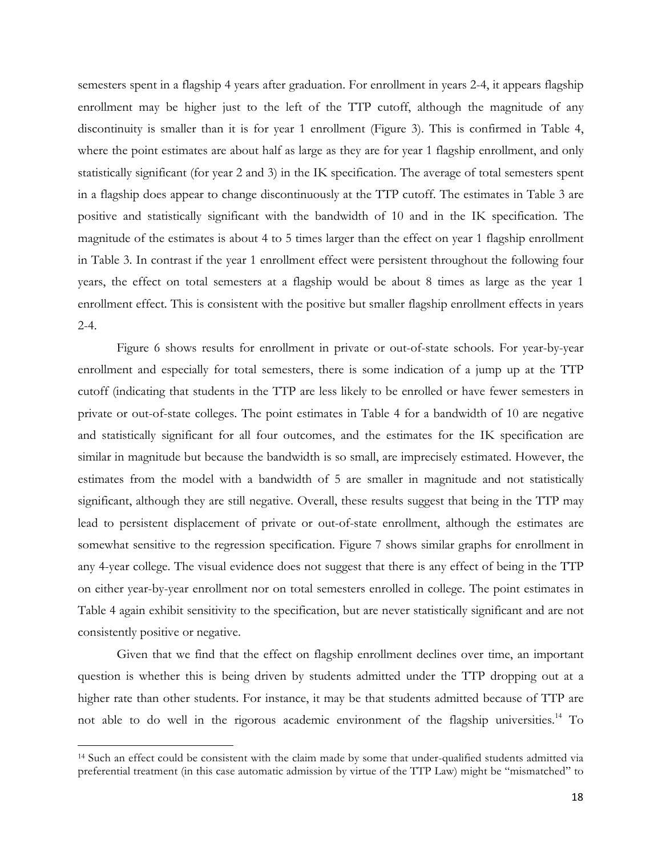semesters spent in a flagship 4 years after graduation. For enrollment in years 2-4, it appears flagship enrollment may be higher just to the left of the TTP cutoff, although the magnitude of any discontinuity is smaller than it is for year 1 enrollment (Figure 3). This is confirmed in Table 4, where the point estimates are about half as large as they are for year 1 flagship enrollment, and only statistically significant (for year 2 and 3) in the IK specification. The average of total semesters spent in a flagship does appear to change discontinuously at the TTP cutoff. The estimates in Table 3 are positive and statistically significant with the bandwidth of 10 and in the IK specification. The magnitude of the estimates is about 4 to 5 times larger than the effect on year 1 flagship enrollment in Table 3. In contrast if the year 1 enrollment effect were persistent throughout the following four years, the effect on total semesters at a flagship would be about 8 times as large as the year 1 enrollment effect. This is consistent with the positive but smaller flagship enrollment effects in years 2-4.

Figure 6 shows results for enrollment in private or out-of-state schools. For year-by-year enrollment and especially for total semesters, there is some indication of a jump up at the TTP cutoff (indicating that students in the TTP are less likely to be enrolled or have fewer semesters in private or out-of-state colleges. The point estimates in Table 4 for a bandwidth of 10 are negative and statistically significant for all four outcomes, and the estimates for the IK specification are similar in magnitude but because the bandwidth is so small, are imprecisely estimated. However, the estimates from the model with a bandwidth of 5 are smaller in magnitude and not statistically significant, although they are still negative. Overall, these results suggest that being in the TTP may lead to persistent displacement of private or out-of-state enrollment, although the estimates are somewhat sensitive to the regression specification. Figure 7 shows similar graphs for enrollment in any 4-year college. The visual evidence does not suggest that there is any effect of being in the TTP on either year-by-year enrollment nor on total semesters enrolled in college. The point estimates in Table 4 again exhibit sensitivity to the specification, but are never statistically significant and are not consistently positive or negative.

Given that we find that the effect on flagship enrollment declines over time, an important question is whether this is being driven by students admitted under the TTP dropping out at a higher rate than other students. For instance, it may be that students admitted because of TTP are not able to do well in the rigorous academic environment of the flagship universities.<sup>14</sup> To

!!!!!!!!!!!!!!!!!!!!!!!!!!!!!!!!!!!!!!!!!!!!!!!!!!!!!!!!!!!!

<sup>14</sup> Such an effect could be consistent with the claim made by some that under-qualified students admitted via preferential treatment (in this case automatic admission by virtue of the TTP Law) might be "mismatched" to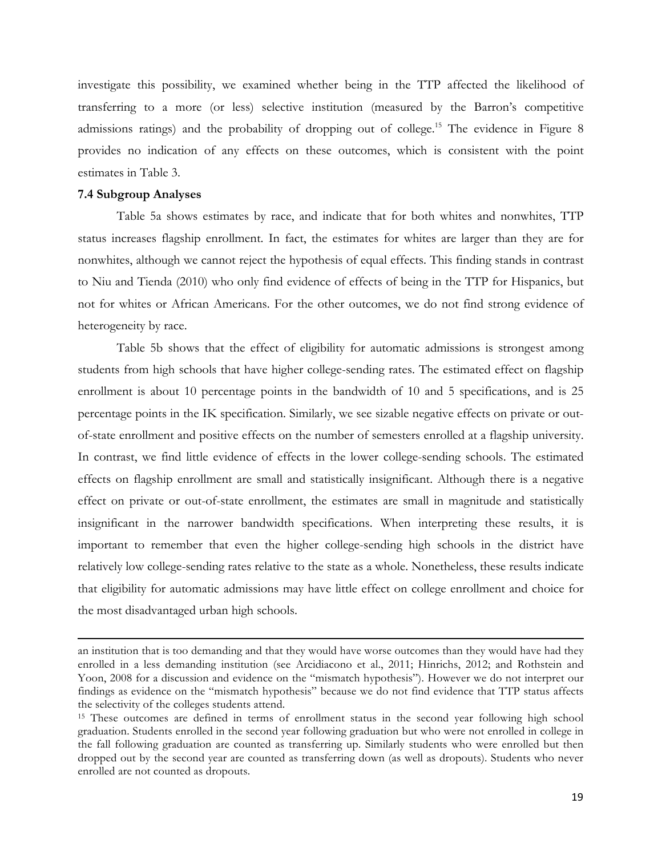investigate this possibility, we examined whether being in the TTP affected the likelihood of transferring to a more (or less) selective institution (measured by the Barron's competitive admissions ratings) and the probability of dropping out of college.<sup>15</sup> The evidence in Figure 8 provides no indication of any effects on these outcomes, which is consistent with the point estimates in Table 3.

#### **7.4 Subgroup Analyses**

Table 5a shows estimates by race, and indicate that for both whites and nonwhites, TTP status increases flagship enrollment. In fact, the estimates for whites are larger than they are for nonwhites, although we cannot reject the hypothesis of equal effects. This finding stands in contrast to Niu and Tienda (2010) who only find evidence of effects of being in the TTP for Hispanics, but not for whites or African Americans. For the other outcomes, we do not find strong evidence of heterogeneity by race.

Table 5b shows that the effect of eligibility for automatic admissions is strongest among students from high schools that have higher college-sending rates. The estimated effect on flagship enrollment is about 10 percentage points in the bandwidth of 10 and 5 specifications, and is 25 percentage points in the IK specification. Similarly, we see sizable negative effects on private or outof-state enrollment and positive effects on the number of semesters enrolled at a flagship university. In contrast, we find little evidence of effects in the lower college-sending schools. The estimated effects on flagship enrollment are small and statistically insignificant. Although there is a negative effect on private or out-of-state enrollment, the estimates are small in magnitude and statistically insignificant in the narrower bandwidth specifications. When interpreting these results, it is important to remember that even the higher college-sending high schools in the district have relatively low college-sending rates relative to the state as a whole. Nonetheless, these results indicate that eligibility for automatic admissions may have little effect on college enrollment and choice for the most disadvantaged urban high schools.

!!!!!!!!!!!!!!!!!!!!!!!!!!!!!!!!!!!!!!!!!!!!!!!!!!!!!!!!!!!!!!!!!!!!!!!!!!!!!!!!!!!!!!!!!!!!!!!!!!!!!!!!!!!!!!!!!!!!!!!!!!!!!!!!!!!!!!!!!!!!!!!!!!!!!!!!!!!!!!!!!!!!!!!!!!!!!!!!!!!!!!!!!!!!!!!!!!!

an institution that is too demanding and that they would have worse outcomes than they would have had they enrolled in a less demanding institution (see Arcidiacono et al., 2011; Hinrichs, 2012; and Rothstein and Yoon, 2008 for a discussion and evidence on the "mismatch hypothesis"). However we do not interpret our findings as evidence on the "mismatch hypothesis" because we do not find evidence that TTP status affects the selectivity of the colleges students attend.

<sup>15</sup> These outcomes are defined in terms of enrollment status in the second year following high school graduation. Students enrolled in the second year following graduation but who were not enrolled in college in the fall following graduation are counted as transferring up. Similarly students who were enrolled but then dropped out by the second year are counted as transferring down (as well as dropouts). Students who never enrolled are not counted as dropouts.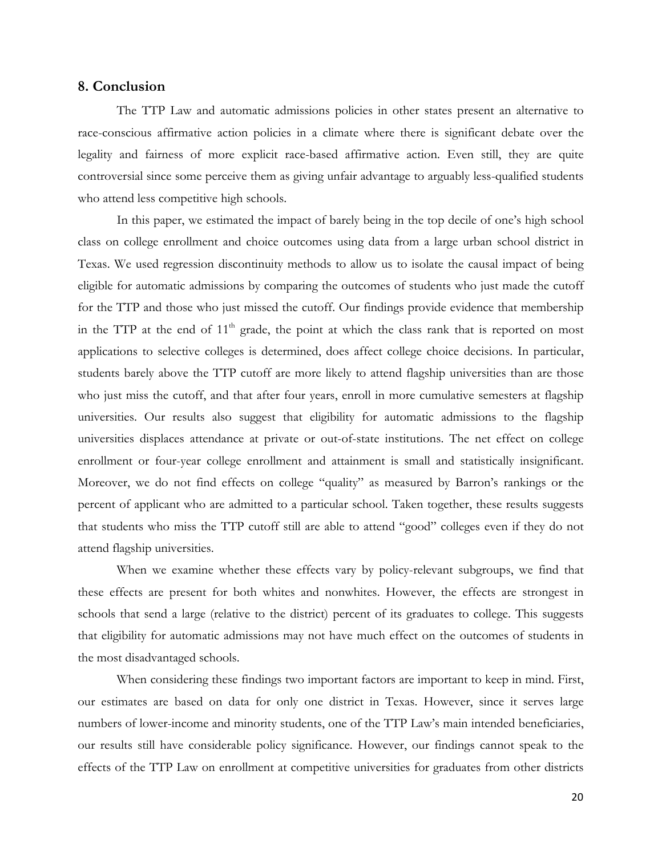#### **8. Conclusion**

The TTP Law and automatic admissions policies in other states present an alternative to race-conscious affirmative action policies in a climate where there is significant debate over the legality and fairness of more explicit race-based affirmative action. Even still, they are quite controversial since some perceive them as giving unfair advantage to arguably less-qualified students who attend less competitive high schools.

In this paper, we estimated the impact of barely being in the top decile of one's high school class on college enrollment and choice outcomes using data from a large urban school district in Texas. We used regression discontinuity methods to allow us to isolate the causal impact of being eligible for automatic admissions by comparing the outcomes of students who just made the cutoff for the TTP and those who just missed the cutoff. Our findings provide evidence that membership in the TTP at the end of  $11<sup>th</sup>$  grade, the point at which the class rank that is reported on most applications to selective colleges is determined, does affect college choice decisions. In particular, students barely above the TTP cutoff are more likely to attend flagship universities than are those who just miss the cutoff, and that after four years, enroll in more cumulative semesters at flagship universities. Our results also suggest that eligibility for automatic admissions to the flagship universities displaces attendance at private or out-of-state institutions. The net effect on college enrollment or four-year college enrollment and attainment is small and statistically insignificant. Moreover, we do not find effects on college "quality" as measured by Barron's rankings or the percent of applicant who are admitted to a particular school. Taken together, these results suggests that students who miss the TTP cutoff still are able to attend "good" colleges even if they do not attend flagship universities.

When we examine whether these effects vary by policy-relevant subgroups, we find that these effects are present for both whites and nonwhites. However, the effects are strongest in schools that send a large (relative to the district) percent of its graduates to college. This suggests that eligibility for automatic admissions may not have much effect on the outcomes of students in the most disadvantaged schools.

When considering these findings two important factors are important to keep in mind. First, our estimates are based on data for only one district in Texas. However, since it serves large numbers of lower-income and minority students, one of the TTP Law's main intended beneficiaries, our results still have considerable policy significance. However, our findings cannot speak to the effects of the TTP Law on enrollment at competitive universities for graduates from other districts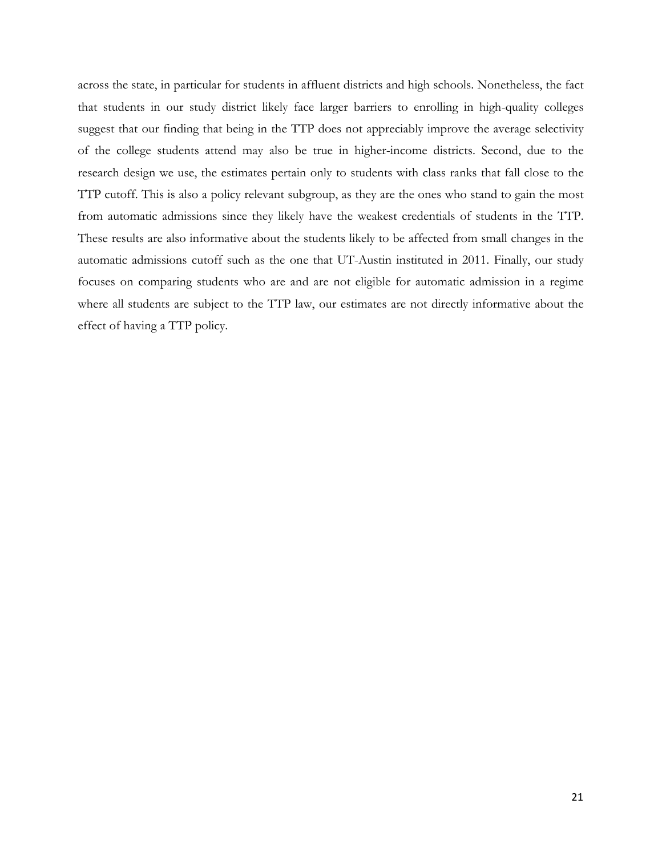across the state, in particular for students in affluent districts and high schools. Nonetheless, the fact that students in our study district likely face larger barriers to enrolling in high-quality colleges suggest that our finding that being in the TTP does not appreciably improve the average selectivity of the college students attend may also be true in higher-income districts. Second, due to the research design we use, the estimates pertain only to students with class ranks that fall close to the TTP cutoff. This is also a policy relevant subgroup, as they are the ones who stand to gain the most from automatic admissions since they likely have the weakest credentials of students in the TTP. These results are also informative about the students likely to be affected from small changes in the automatic admissions cutoff such as the one that UT-Austin instituted in 2011. Finally, our study focuses on comparing students who are and are not eligible for automatic admission in a regime where all students are subject to the TTP law, our estimates are not directly informative about the effect of having a TTP policy.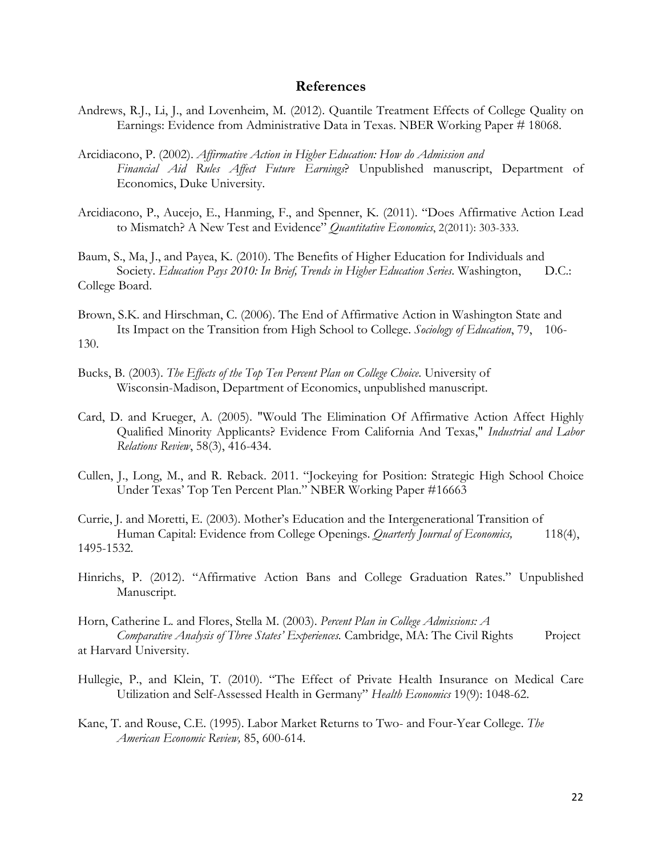#### **References**

- Andrews, R.J., Li, J., and Lovenheim, M. (2012). Quantile Treatment Effects of College Quality on Earnings: Evidence from Administrative Data in Texas. NBER Working Paper # 18068.
- Arcidiacono, P. (2002). *Affirmative Action in Higher Education: How do Admission and Financial Aid Rules Affect Future Earnings*? Unpublished manuscript, Department of Economics, Duke University.
- Arcidiacono, P., Aucejo, E., Hanming, F., and Spenner, K. (2011). "Does Affirmative Action Lead to Mismatch? A New Test and Evidence" *Quantitative Economics*, 2(2011): 303-333.
- Baum, S., Ma, J., and Payea, K. (2010). The Benefits of Higher Education for Individuals and Society. *Education Pays 2010: In Brief, Trends in Higher Education Series*. Washington, D.C.: College Board.
- Brown, S.K. and Hirschman, C. (2006). The End of Affirmative Action in Washington State and Its Impact on the Transition from High School to College. *Sociology of Education*, 79, 106- 130.
- Bucks, B. (2003). *The Effects of the Top Ten Percent Plan on College Choice*. University of Wisconsin-Madison, Department of Economics, unpublished manuscript.
- Card, D. and Krueger, A. (2005). "Would The Elimination Of Affirmative Action Affect Highly Qualified Minority Applicants? Evidence From California And Texas," *Industrial and Labor Relations Review*, 58(3), 416-434.
- Cullen, J., Long, M., and R. Reback. 2011. "Jockeying for Position: Strategic High School Choice Under Texas' Top Ten Percent Plan." NBER Working Paper #16663

Currie, J. and Moretti, E. (2003). Mother's Education and the Intergenerational Transition of Human Capital: Evidence from College Openings. *Quarterly Journal of Economics*, 118(4), 1495-1532.

- Hinrichs, P. (2012). "Affirmative Action Bans and College Graduation Rates." Unpublished Manuscript.
- Horn, Catherine L. and Flores, Stella M. (2003). *Percent Plan in College Admissions: A Comparative Analysis of Three States' Experiences.* Cambridge, MA: The Civil Rights Project at Harvard University.
- Hullegie, P., and Klein, T. (2010). "The Effect of Private Health Insurance on Medical Care Utilization and Self-Assessed Health in Germany" *Health Economics* 19(9): 1048-62.
- Kane, T. and Rouse, C.E. (1995). Labor Market Returns to Two- and Four-Year College. *The American Economic Review,* 85, 600-614.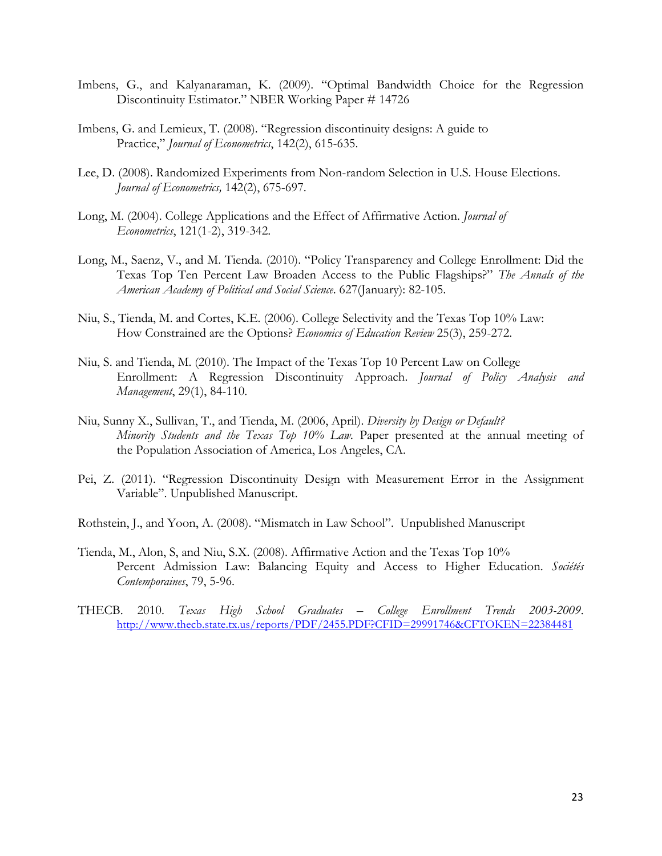- Imbens, G., and Kalyanaraman, K. (2009). "Optimal Bandwidth Choice for the Regression Discontinuity Estimator." NBER Working Paper # 14726
- Imbens, G. and Lemieux, T. (2008). "Regression discontinuity designs: A guide to Practice," *Journal of Econometrics*, 142(2), 615-635.
- Lee, D. (2008). Randomized Experiments from Non-random Selection in U.S. House Elections. *Journal of Econometrics,* 142(2), 675-697.
- Long, M. (2004). College Applications and the Effect of Affirmative Action. *Journal of Econometrics*, 121(1-2), 319-342.
- Long, M., Saenz, V., and M. Tienda. (2010). "Policy Transparency and College Enrollment: Did the Texas Top Ten Percent Law Broaden Access to the Public Flagships?" *The Annals of the American Academy of Political and Social Science*. 627(January): 82-105.
- Niu, S., Tienda, M. and Cortes, K.E. (2006). College Selectivity and the Texas Top 10% Law: How Constrained are the Options? *Economics of Education Review* 25(3), 259-272.
- Niu, S. and Tienda, M. (2010). The Impact of the Texas Top 10 Percent Law on College Enrollment: A Regression Discontinuity Approach. *Journal of Policy Analysis and Management*, 29(1), 84-110.
- Niu, Sunny X., Sullivan, T., and Tienda, M. (2006, April). *Diversity by Design or Default? Minority Students and the Texas Top 10% Law.* Paper presented at the annual meeting of the Population Association of America, Los Angeles, CA.
- Pei, Z. (2011). "Regression Discontinuity Design with Measurement Error in the Assignment Variable". Unpublished Manuscript.
- Rothstein, J., and Yoon, A. (2008). "Mismatch in Law School". Unpublished Manuscript
- Tienda, M., Alon, S, and Niu, S.X. (2008). Affirmative Action and the Texas Top 10% Percent Admission Law: Balancing Equity and Access to Higher Education. *Sociétés Contemporaines*, 79, 5-96.
- THECB. 2010. *Texas High School Graduates – College Enrollment Trends 2003-2009*. http://www.thecb.state.tx.us/reports/PDF/2455.PDF?CFID=29991746&CFTOKEN=22384481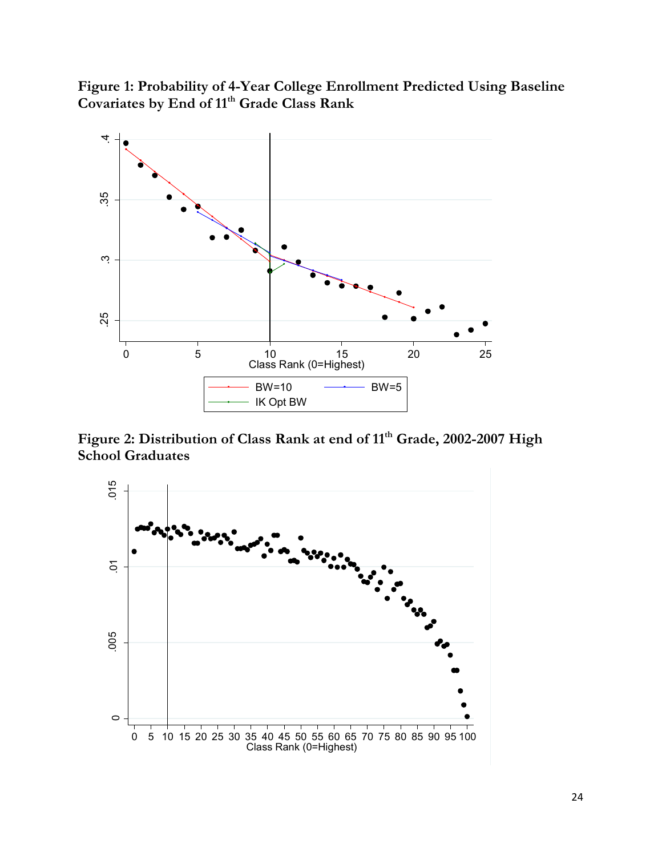**Figure 1: Probability of 4-Year College Enrollment Predicted Using Baseline Covariates by End of 11th Grade Class Rank**



Figure 2: Distribution of Class Rank at end of 11<sup>th</sup> Grade, 2002-2007 High **School Graduates** 

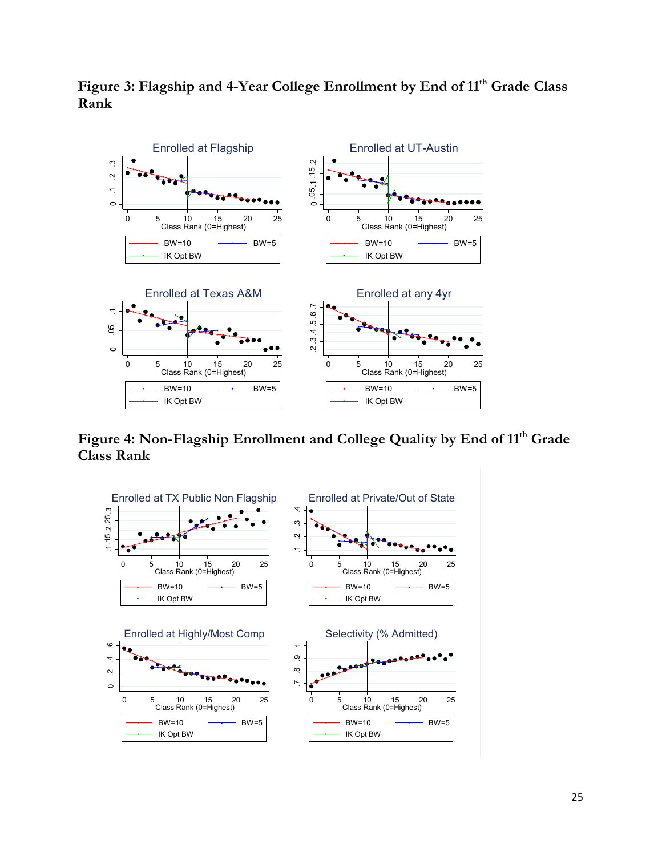

Figure 3: Flagship and 4-Year College Enrollment by End of 11<sup>th</sup> Grade Class **Rank**

Figure 4: Non-Flagship Enrollment and College Quality by End of 11<sup>th</sup> Grade **Class Rank**

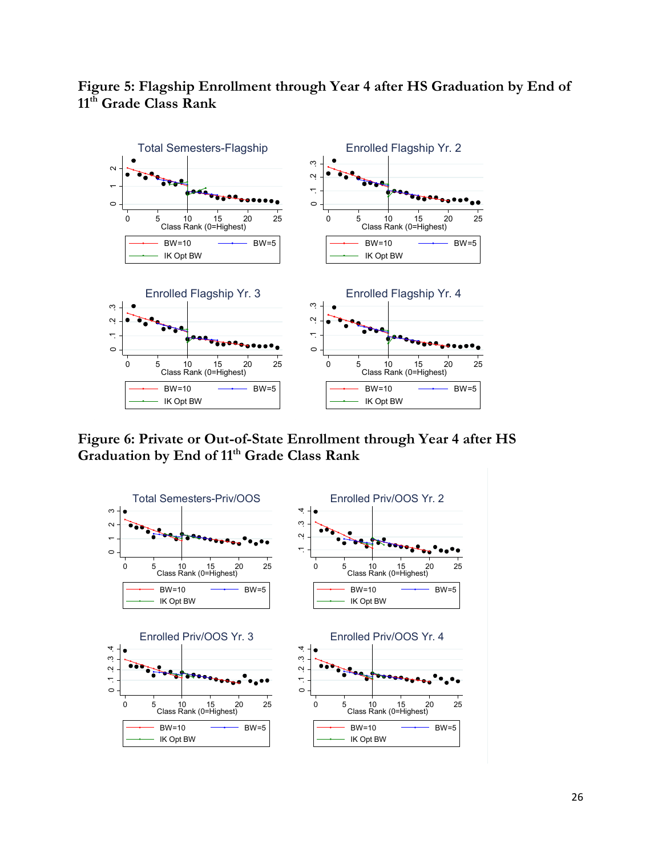

# **Figure 5: Flagship Enrollment through Year 4 after HS Graduation by End of 11th Grade Class Rank**

**Figure 6: Private or Out-of-State Enrollment through Year 4 after HS Graduation by End of 11th Grade Class Rank**

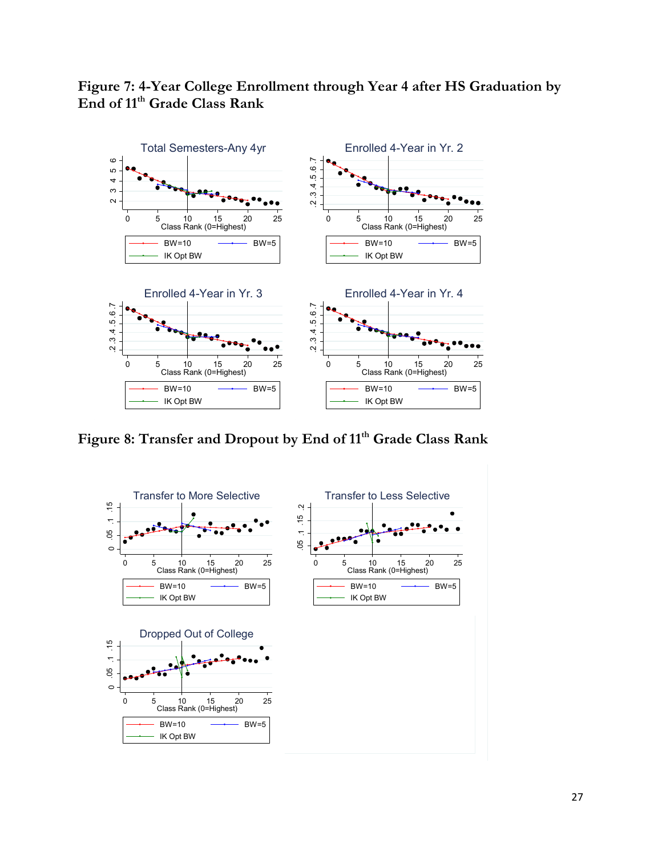



**Figure 8: Transfer and Dropout by End of 11th Grade Class Rank**

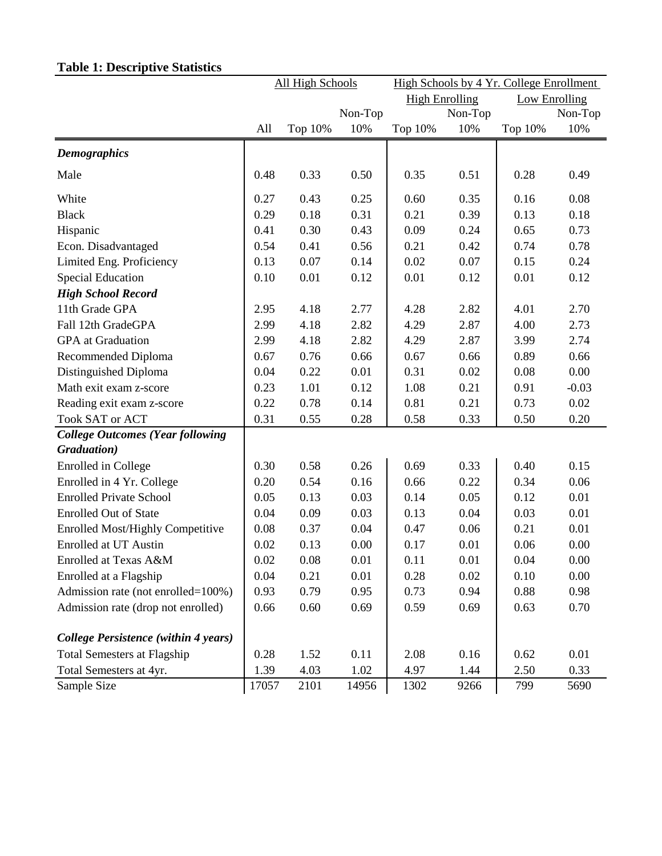| <b>High Enrolling</b><br><b>Low Enrolling</b><br>Non-Top<br>Non-Top<br>Non-Top<br>10%<br>Top 10%<br>All<br>Top 10%<br>Top 10%<br>10%<br>10%<br><b>Demographics</b><br>0.33<br>0.50<br>0.35<br>0.51<br>0.28<br>Male<br>0.48<br>0.49<br>White<br>0.25<br>0.08<br>0.27<br>0.43<br>0.60<br>0.35<br>0.16<br><b>Black</b><br>0.29<br>0.18<br>0.31<br>0.21<br>0.39<br>0.13<br>0.18<br>Hispanic<br>0.30<br>0.43<br>0.09<br>0.24<br>0.65<br>0.41<br>0.73<br>0.41<br>0.56<br>0.21<br>0.42<br>0.74<br>0.78<br>Econ. Disadvantaged<br>0.54<br>Limited Eng. Proficiency<br>0.13<br>0.07<br>0.14<br>0.02<br>0.07<br>0.15<br>0.24<br><b>Special Education</b><br>0.10<br>0.01<br>0.12<br>0.01<br>0.12<br>0.01<br>0.12<br><b>High School Record</b><br>11th Grade GPA<br>2.82<br>4.01<br>2.70<br>2.95<br>4.18<br>2.77<br>4.28<br>Fall 12th GradeGPA<br>2.99<br>4.18<br>2.82<br>2.87<br>4.00<br>2.73<br>4.29<br>GPA at Graduation<br>2.99<br>2.82<br>3.99<br>4.18<br>4.29<br>2.87<br>2.74<br><b>Recommended Diploma</b><br>0.76<br>0.66<br>0.89<br>0.66<br>0.67<br>0.67<br>0.66<br>0.01<br>0.02<br>0.08<br>0.00<br>Distinguished Diploma<br>0.04<br>0.22<br>0.31<br>Math exit exam z-score<br>0.12<br>0.21<br>0.23<br>1.01<br>1.08<br>0.91<br>$-0.03$<br>0.22<br>0.78<br>0.14<br>0.81<br>0.21<br>0.73<br>0.02<br>Reading exit exam z-score<br>Took SAT or ACT<br>0.31<br>0.28<br>0.50<br>0.20<br>0.55<br>0.58<br>0.33<br><b>College Outcomes (Year following</b><br>Graduation)<br>0.26<br>0.33<br>0.40<br>Enrolled in College<br>0.30<br>0.58<br>0.69<br>0.15<br>Enrolled in 4 Yr. College<br>0.20<br>0.54<br>0.16<br>0.22<br>0.34<br>0.06<br>0.66<br><b>Enrolled Private School</b><br>0.05<br>0.13<br>0.03<br>0.05<br>0.01<br>0.14<br>0.12<br><b>Enrolled Out of State</b><br>0.04<br>0.09<br>0.03<br>0.13<br>0.04<br>0.03<br>0.01<br><b>Enrolled Most/Highly Competitive</b><br>0.08<br>0.04<br>0.06<br>0.21<br>0.37<br>0.47<br>0.01<br>0.01<br><b>Enrolled at UT Austin</b><br>0.02<br>0.13<br>0.00<br>0.17<br>0.06<br>0.00<br>0.02<br>0.08<br>0.01<br>0.01<br>0.11<br>0.04<br>0.00<br>Enrolled at Texas A&M<br>0.21<br>Enrolled at a Flagship<br>0.04<br>0.01<br>0.28<br>0.02<br>0.10<br>0.00<br>0.79<br>Admission rate (not enrolled=100%)<br>0.93<br>0.95<br>0.73<br>0.94<br>0.88<br>0.98<br>Admission rate (drop not enrolled)<br>0.60<br>0.69<br>0.59<br>0.69<br>0.70<br>0.66<br>0.63<br>College Persistence (within 4 years)<br><b>Total Semesters at Flagship</b><br>0.11<br>0.16<br>0.01<br>0.28<br>1.52<br>2.08<br>0.62<br>0.33<br>Total Semesters at 4yr.<br>1.39<br>4.03<br>1.02<br>4.97<br>1.44<br>2.50<br>Sample Size<br>1302<br>5690<br>17057<br>2101<br>14956<br>9266<br>799 | All High Schools |  |  | High Schools by 4 Yr. College Enrollment |  |  |  |
|---------------------------------------------------------------------------------------------------------------------------------------------------------------------------------------------------------------------------------------------------------------------------------------------------------------------------------------------------------------------------------------------------------------------------------------------------------------------------------------------------------------------------------------------------------------------------------------------------------------------------------------------------------------------------------------------------------------------------------------------------------------------------------------------------------------------------------------------------------------------------------------------------------------------------------------------------------------------------------------------------------------------------------------------------------------------------------------------------------------------------------------------------------------------------------------------------------------------------------------------------------------------------------------------------------------------------------------------------------------------------------------------------------------------------------------------------------------------------------------------------------------------------------------------------------------------------------------------------------------------------------------------------------------------------------------------------------------------------------------------------------------------------------------------------------------------------------------------------------------------------------------------------------------------------------------------------------------------------------------------------------------------------------------------------------------------------------------------------------------------------------------------------------------------------------------------------------------------------------------------------------------------------------------------------------------------------------------------------------------------------------------------------------------------------------------------------------------------------------------------------------------------------------------------------------------------------------------------------------------------------------------------------------------------------------|------------------|--|--|------------------------------------------|--|--|--|
|                                                                                                                                                                                                                                                                                                                                                                                                                                                                                                                                                                                                                                                                                                                                                                                                                                                                                                                                                                                                                                                                                                                                                                                                                                                                                                                                                                                                                                                                                                                                                                                                                                                                                                                                                                                                                                                                                                                                                                                                                                                                                                                                                                                                                                                                                                                                                                                                                                                                                                                                                                                                                                                                                 |                  |  |  |                                          |  |  |  |
|                                                                                                                                                                                                                                                                                                                                                                                                                                                                                                                                                                                                                                                                                                                                                                                                                                                                                                                                                                                                                                                                                                                                                                                                                                                                                                                                                                                                                                                                                                                                                                                                                                                                                                                                                                                                                                                                                                                                                                                                                                                                                                                                                                                                                                                                                                                                                                                                                                                                                                                                                                                                                                                                                 |                  |  |  |                                          |  |  |  |
|                                                                                                                                                                                                                                                                                                                                                                                                                                                                                                                                                                                                                                                                                                                                                                                                                                                                                                                                                                                                                                                                                                                                                                                                                                                                                                                                                                                                                                                                                                                                                                                                                                                                                                                                                                                                                                                                                                                                                                                                                                                                                                                                                                                                                                                                                                                                                                                                                                                                                                                                                                                                                                                                                 |                  |  |  |                                          |  |  |  |
|                                                                                                                                                                                                                                                                                                                                                                                                                                                                                                                                                                                                                                                                                                                                                                                                                                                                                                                                                                                                                                                                                                                                                                                                                                                                                                                                                                                                                                                                                                                                                                                                                                                                                                                                                                                                                                                                                                                                                                                                                                                                                                                                                                                                                                                                                                                                                                                                                                                                                                                                                                                                                                                                                 |                  |  |  |                                          |  |  |  |
|                                                                                                                                                                                                                                                                                                                                                                                                                                                                                                                                                                                                                                                                                                                                                                                                                                                                                                                                                                                                                                                                                                                                                                                                                                                                                                                                                                                                                                                                                                                                                                                                                                                                                                                                                                                                                                                                                                                                                                                                                                                                                                                                                                                                                                                                                                                                                                                                                                                                                                                                                                                                                                                                                 |                  |  |  |                                          |  |  |  |
|                                                                                                                                                                                                                                                                                                                                                                                                                                                                                                                                                                                                                                                                                                                                                                                                                                                                                                                                                                                                                                                                                                                                                                                                                                                                                                                                                                                                                                                                                                                                                                                                                                                                                                                                                                                                                                                                                                                                                                                                                                                                                                                                                                                                                                                                                                                                                                                                                                                                                                                                                                                                                                                                                 |                  |  |  |                                          |  |  |  |
|                                                                                                                                                                                                                                                                                                                                                                                                                                                                                                                                                                                                                                                                                                                                                                                                                                                                                                                                                                                                                                                                                                                                                                                                                                                                                                                                                                                                                                                                                                                                                                                                                                                                                                                                                                                                                                                                                                                                                                                                                                                                                                                                                                                                                                                                                                                                                                                                                                                                                                                                                                                                                                                                                 |                  |  |  |                                          |  |  |  |
|                                                                                                                                                                                                                                                                                                                                                                                                                                                                                                                                                                                                                                                                                                                                                                                                                                                                                                                                                                                                                                                                                                                                                                                                                                                                                                                                                                                                                                                                                                                                                                                                                                                                                                                                                                                                                                                                                                                                                                                                                                                                                                                                                                                                                                                                                                                                                                                                                                                                                                                                                                                                                                                                                 |                  |  |  |                                          |  |  |  |
|                                                                                                                                                                                                                                                                                                                                                                                                                                                                                                                                                                                                                                                                                                                                                                                                                                                                                                                                                                                                                                                                                                                                                                                                                                                                                                                                                                                                                                                                                                                                                                                                                                                                                                                                                                                                                                                                                                                                                                                                                                                                                                                                                                                                                                                                                                                                                                                                                                                                                                                                                                                                                                                                                 |                  |  |  |                                          |  |  |  |
|                                                                                                                                                                                                                                                                                                                                                                                                                                                                                                                                                                                                                                                                                                                                                                                                                                                                                                                                                                                                                                                                                                                                                                                                                                                                                                                                                                                                                                                                                                                                                                                                                                                                                                                                                                                                                                                                                                                                                                                                                                                                                                                                                                                                                                                                                                                                                                                                                                                                                                                                                                                                                                                                                 |                  |  |  |                                          |  |  |  |
|                                                                                                                                                                                                                                                                                                                                                                                                                                                                                                                                                                                                                                                                                                                                                                                                                                                                                                                                                                                                                                                                                                                                                                                                                                                                                                                                                                                                                                                                                                                                                                                                                                                                                                                                                                                                                                                                                                                                                                                                                                                                                                                                                                                                                                                                                                                                                                                                                                                                                                                                                                                                                                                                                 |                  |  |  |                                          |  |  |  |
|                                                                                                                                                                                                                                                                                                                                                                                                                                                                                                                                                                                                                                                                                                                                                                                                                                                                                                                                                                                                                                                                                                                                                                                                                                                                                                                                                                                                                                                                                                                                                                                                                                                                                                                                                                                                                                                                                                                                                                                                                                                                                                                                                                                                                                                                                                                                                                                                                                                                                                                                                                                                                                                                                 |                  |  |  |                                          |  |  |  |
|                                                                                                                                                                                                                                                                                                                                                                                                                                                                                                                                                                                                                                                                                                                                                                                                                                                                                                                                                                                                                                                                                                                                                                                                                                                                                                                                                                                                                                                                                                                                                                                                                                                                                                                                                                                                                                                                                                                                                                                                                                                                                                                                                                                                                                                                                                                                                                                                                                                                                                                                                                                                                                                                                 |                  |  |  |                                          |  |  |  |
|                                                                                                                                                                                                                                                                                                                                                                                                                                                                                                                                                                                                                                                                                                                                                                                                                                                                                                                                                                                                                                                                                                                                                                                                                                                                                                                                                                                                                                                                                                                                                                                                                                                                                                                                                                                                                                                                                                                                                                                                                                                                                                                                                                                                                                                                                                                                                                                                                                                                                                                                                                                                                                                                                 |                  |  |  |                                          |  |  |  |
|                                                                                                                                                                                                                                                                                                                                                                                                                                                                                                                                                                                                                                                                                                                                                                                                                                                                                                                                                                                                                                                                                                                                                                                                                                                                                                                                                                                                                                                                                                                                                                                                                                                                                                                                                                                                                                                                                                                                                                                                                                                                                                                                                                                                                                                                                                                                                                                                                                                                                                                                                                                                                                                                                 |                  |  |  |                                          |  |  |  |
|                                                                                                                                                                                                                                                                                                                                                                                                                                                                                                                                                                                                                                                                                                                                                                                                                                                                                                                                                                                                                                                                                                                                                                                                                                                                                                                                                                                                                                                                                                                                                                                                                                                                                                                                                                                                                                                                                                                                                                                                                                                                                                                                                                                                                                                                                                                                                                                                                                                                                                                                                                                                                                                                                 |                  |  |  |                                          |  |  |  |
|                                                                                                                                                                                                                                                                                                                                                                                                                                                                                                                                                                                                                                                                                                                                                                                                                                                                                                                                                                                                                                                                                                                                                                                                                                                                                                                                                                                                                                                                                                                                                                                                                                                                                                                                                                                                                                                                                                                                                                                                                                                                                                                                                                                                                                                                                                                                                                                                                                                                                                                                                                                                                                                                                 |                  |  |  |                                          |  |  |  |
|                                                                                                                                                                                                                                                                                                                                                                                                                                                                                                                                                                                                                                                                                                                                                                                                                                                                                                                                                                                                                                                                                                                                                                                                                                                                                                                                                                                                                                                                                                                                                                                                                                                                                                                                                                                                                                                                                                                                                                                                                                                                                                                                                                                                                                                                                                                                                                                                                                                                                                                                                                                                                                                                                 |                  |  |  |                                          |  |  |  |
|                                                                                                                                                                                                                                                                                                                                                                                                                                                                                                                                                                                                                                                                                                                                                                                                                                                                                                                                                                                                                                                                                                                                                                                                                                                                                                                                                                                                                                                                                                                                                                                                                                                                                                                                                                                                                                                                                                                                                                                                                                                                                                                                                                                                                                                                                                                                                                                                                                                                                                                                                                                                                                                                                 |                  |  |  |                                          |  |  |  |
|                                                                                                                                                                                                                                                                                                                                                                                                                                                                                                                                                                                                                                                                                                                                                                                                                                                                                                                                                                                                                                                                                                                                                                                                                                                                                                                                                                                                                                                                                                                                                                                                                                                                                                                                                                                                                                                                                                                                                                                                                                                                                                                                                                                                                                                                                                                                                                                                                                                                                                                                                                                                                                                                                 |                  |  |  |                                          |  |  |  |
|                                                                                                                                                                                                                                                                                                                                                                                                                                                                                                                                                                                                                                                                                                                                                                                                                                                                                                                                                                                                                                                                                                                                                                                                                                                                                                                                                                                                                                                                                                                                                                                                                                                                                                                                                                                                                                                                                                                                                                                                                                                                                                                                                                                                                                                                                                                                                                                                                                                                                                                                                                                                                                                                                 |                  |  |  |                                          |  |  |  |
|                                                                                                                                                                                                                                                                                                                                                                                                                                                                                                                                                                                                                                                                                                                                                                                                                                                                                                                                                                                                                                                                                                                                                                                                                                                                                                                                                                                                                                                                                                                                                                                                                                                                                                                                                                                                                                                                                                                                                                                                                                                                                                                                                                                                                                                                                                                                                                                                                                                                                                                                                                                                                                                                                 |                  |  |  |                                          |  |  |  |
|                                                                                                                                                                                                                                                                                                                                                                                                                                                                                                                                                                                                                                                                                                                                                                                                                                                                                                                                                                                                                                                                                                                                                                                                                                                                                                                                                                                                                                                                                                                                                                                                                                                                                                                                                                                                                                                                                                                                                                                                                                                                                                                                                                                                                                                                                                                                                                                                                                                                                                                                                                                                                                                                                 |                  |  |  |                                          |  |  |  |
|                                                                                                                                                                                                                                                                                                                                                                                                                                                                                                                                                                                                                                                                                                                                                                                                                                                                                                                                                                                                                                                                                                                                                                                                                                                                                                                                                                                                                                                                                                                                                                                                                                                                                                                                                                                                                                                                                                                                                                                                                                                                                                                                                                                                                                                                                                                                                                                                                                                                                                                                                                                                                                                                                 |                  |  |  |                                          |  |  |  |
|                                                                                                                                                                                                                                                                                                                                                                                                                                                                                                                                                                                                                                                                                                                                                                                                                                                                                                                                                                                                                                                                                                                                                                                                                                                                                                                                                                                                                                                                                                                                                                                                                                                                                                                                                                                                                                                                                                                                                                                                                                                                                                                                                                                                                                                                                                                                                                                                                                                                                                                                                                                                                                                                                 |                  |  |  |                                          |  |  |  |
|                                                                                                                                                                                                                                                                                                                                                                                                                                                                                                                                                                                                                                                                                                                                                                                                                                                                                                                                                                                                                                                                                                                                                                                                                                                                                                                                                                                                                                                                                                                                                                                                                                                                                                                                                                                                                                                                                                                                                                                                                                                                                                                                                                                                                                                                                                                                                                                                                                                                                                                                                                                                                                                                                 |                  |  |  |                                          |  |  |  |
|                                                                                                                                                                                                                                                                                                                                                                                                                                                                                                                                                                                                                                                                                                                                                                                                                                                                                                                                                                                                                                                                                                                                                                                                                                                                                                                                                                                                                                                                                                                                                                                                                                                                                                                                                                                                                                                                                                                                                                                                                                                                                                                                                                                                                                                                                                                                                                                                                                                                                                                                                                                                                                                                                 |                  |  |  |                                          |  |  |  |
|                                                                                                                                                                                                                                                                                                                                                                                                                                                                                                                                                                                                                                                                                                                                                                                                                                                                                                                                                                                                                                                                                                                                                                                                                                                                                                                                                                                                                                                                                                                                                                                                                                                                                                                                                                                                                                                                                                                                                                                                                                                                                                                                                                                                                                                                                                                                                                                                                                                                                                                                                                                                                                                                                 |                  |  |  |                                          |  |  |  |
|                                                                                                                                                                                                                                                                                                                                                                                                                                                                                                                                                                                                                                                                                                                                                                                                                                                                                                                                                                                                                                                                                                                                                                                                                                                                                                                                                                                                                                                                                                                                                                                                                                                                                                                                                                                                                                                                                                                                                                                                                                                                                                                                                                                                                                                                                                                                                                                                                                                                                                                                                                                                                                                                                 |                  |  |  |                                          |  |  |  |
|                                                                                                                                                                                                                                                                                                                                                                                                                                                                                                                                                                                                                                                                                                                                                                                                                                                                                                                                                                                                                                                                                                                                                                                                                                                                                                                                                                                                                                                                                                                                                                                                                                                                                                                                                                                                                                                                                                                                                                                                                                                                                                                                                                                                                                                                                                                                                                                                                                                                                                                                                                                                                                                                                 |                  |  |  |                                          |  |  |  |
|                                                                                                                                                                                                                                                                                                                                                                                                                                                                                                                                                                                                                                                                                                                                                                                                                                                                                                                                                                                                                                                                                                                                                                                                                                                                                                                                                                                                                                                                                                                                                                                                                                                                                                                                                                                                                                                                                                                                                                                                                                                                                                                                                                                                                                                                                                                                                                                                                                                                                                                                                                                                                                                                                 |                  |  |  |                                          |  |  |  |
|                                                                                                                                                                                                                                                                                                                                                                                                                                                                                                                                                                                                                                                                                                                                                                                                                                                                                                                                                                                                                                                                                                                                                                                                                                                                                                                                                                                                                                                                                                                                                                                                                                                                                                                                                                                                                                                                                                                                                                                                                                                                                                                                                                                                                                                                                                                                                                                                                                                                                                                                                                                                                                                                                 |                  |  |  |                                          |  |  |  |
|                                                                                                                                                                                                                                                                                                                                                                                                                                                                                                                                                                                                                                                                                                                                                                                                                                                                                                                                                                                                                                                                                                                                                                                                                                                                                                                                                                                                                                                                                                                                                                                                                                                                                                                                                                                                                                                                                                                                                                                                                                                                                                                                                                                                                                                                                                                                                                                                                                                                                                                                                                                                                                                                                 |                  |  |  |                                          |  |  |  |
|                                                                                                                                                                                                                                                                                                                                                                                                                                                                                                                                                                                                                                                                                                                                                                                                                                                                                                                                                                                                                                                                                                                                                                                                                                                                                                                                                                                                                                                                                                                                                                                                                                                                                                                                                                                                                                                                                                                                                                                                                                                                                                                                                                                                                                                                                                                                                                                                                                                                                                                                                                                                                                                                                 |                  |  |  |                                          |  |  |  |
|                                                                                                                                                                                                                                                                                                                                                                                                                                                                                                                                                                                                                                                                                                                                                                                                                                                                                                                                                                                                                                                                                                                                                                                                                                                                                                                                                                                                                                                                                                                                                                                                                                                                                                                                                                                                                                                                                                                                                                                                                                                                                                                                                                                                                                                                                                                                                                                                                                                                                                                                                                                                                                                                                 |                  |  |  |                                          |  |  |  |
|                                                                                                                                                                                                                                                                                                                                                                                                                                                                                                                                                                                                                                                                                                                                                                                                                                                                                                                                                                                                                                                                                                                                                                                                                                                                                                                                                                                                                                                                                                                                                                                                                                                                                                                                                                                                                                                                                                                                                                                                                                                                                                                                                                                                                                                                                                                                                                                                                                                                                                                                                                                                                                                                                 |                  |  |  |                                          |  |  |  |

## **Table 1: Descriptive Statistics**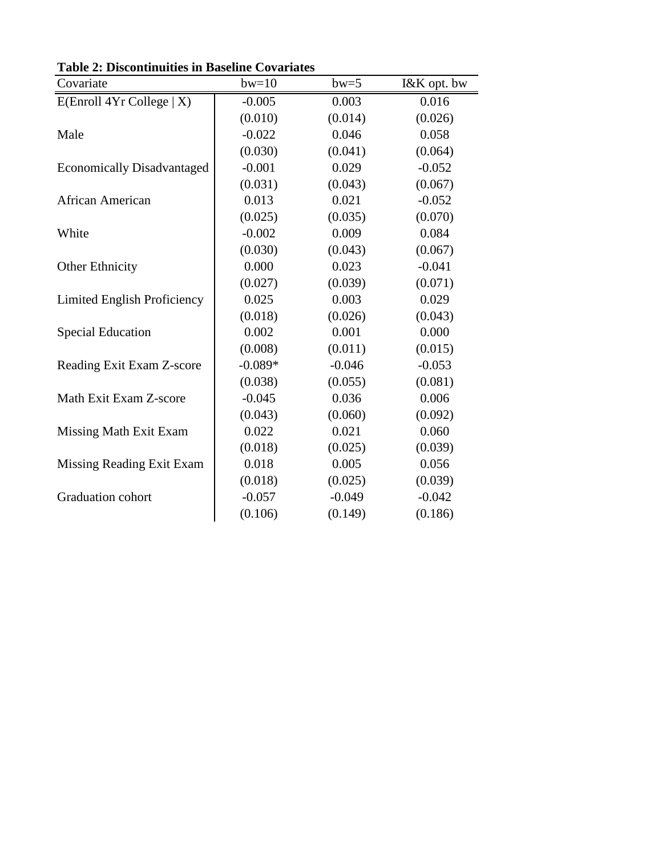| Covariate                          | $bw=10$   | $bw=5$   | I&K opt. bw |
|------------------------------------|-----------|----------|-------------|
| E(Enroll 4Yr College   X)          | $-0.005$  | 0.003    | 0.016       |
|                                    | (0.010)   | (0.014)  | (0.026)     |
| Male                               | $-0.022$  | 0.046    | 0.058       |
|                                    | (0.030)   | (0.041)  | (0.064)     |
| <b>Economically Disadvantaged</b>  | $-0.001$  | 0.029    | $-0.052$    |
|                                    | (0.031)   | (0.043)  | (0.067)     |
| African American                   | 0.013     | 0.021    | $-0.052$    |
|                                    | (0.025)   | (0.035)  | (0.070)     |
| White                              | $-0.002$  | 0.009    | 0.084       |
|                                    | (0.030)   | (0.043)  | (0.067)     |
| <b>Other Ethnicity</b>             | 0.000     | 0.023    | $-0.041$    |
|                                    | (0.027)   | (0.039)  | (0.071)     |
| <b>Limited English Proficiency</b> | 0.025     | 0.003    | 0.029       |
|                                    | (0.018)   | (0.026)  | (0.043)     |
| <b>Special Education</b>           | 0.002     | 0.001    | 0.000       |
|                                    | (0.008)   | (0.011)  | (0.015)     |
| Reading Exit Exam Z-score          | $-0.089*$ | $-0.046$ | $-0.053$    |
|                                    | (0.038)   | (0.055)  | (0.081)     |
| Math Exit Exam Z-score             | $-0.045$  | 0.036    | 0.006       |
|                                    | (0.043)   | (0.060)  | (0.092)     |
| Missing Math Exit Exam             | 0.022     | 0.021    | 0.060       |
|                                    | (0.018)   | (0.025)  | (0.039)     |
| <b>Missing Reading Exit Exam</b>   | 0.018     | 0.005    | 0.056       |
|                                    | (0.018)   | (0.025)  | (0.039)     |
| Graduation cohort                  | $-0.057$  | $-0.049$ | $-0.042$    |
|                                    | (0.106)   | (0.149)  | (0.186)     |

**Table 2: Discontinuities in Baseline Covariates**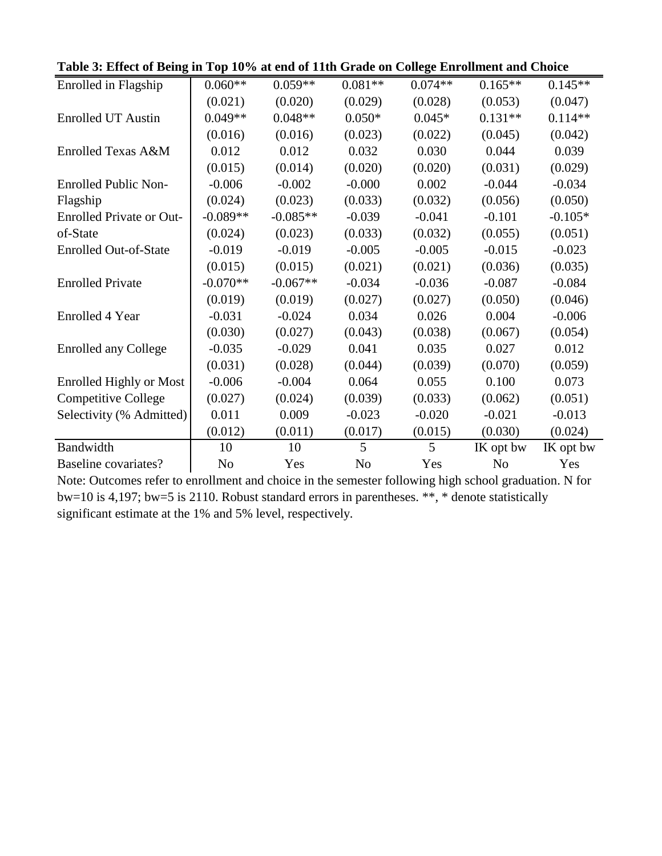| Table 3: Effect of Being in Top 10% at end of Tith Grade on College Enrollment and Choice |                |            |                |           |                |           |
|-------------------------------------------------------------------------------------------|----------------|------------|----------------|-----------|----------------|-----------|
| Enrolled in Flagship                                                                      | $0.060**$      | $0.059**$  | $0.081**$      | $0.074**$ | $0.165**$      | $0.145**$ |
|                                                                                           | (0.021)        | (0.020)    | (0.029)        | (0.028)   | (0.053)        | (0.047)   |
| <b>Enrolled UT Austin</b>                                                                 | $0.049**$      | $0.048**$  | $0.050*$       | $0.045*$  | $0.131**$      | $0.114**$ |
|                                                                                           | (0.016)        | (0.016)    | (0.023)        | (0.022)   | (0.045)        | (0.042)   |
| Enrolled Texas A&M                                                                        | 0.012          | 0.012      | 0.032          | 0.030     | 0.044          | 0.039     |
|                                                                                           | (0.015)        | (0.014)    | (0.020)        | (0.020)   | (0.031)        | (0.029)   |
| <b>Enrolled Public Non-</b>                                                               | $-0.006$       | $-0.002$   | $-0.000$       | 0.002     | $-0.044$       | $-0.034$  |
| Flagship                                                                                  | (0.024)        | (0.023)    | (0.033)        | (0.032)   | (0.056)        | (0.050)   |
| <b>Enrolled Private or Out-</b>                                                           | $-0.089**$     | $-0.085**$ | $-0.039$       | $-0.041$  | $-0.101$       | $-0.105*$ |
| of-State                                                                                  | (0.024)        | (0.023)    | (0.033)        | (0.032)   | (0.055)        | (0.051)   |
| <b>Enrolled Out-of-State</b>                                                              | $-0.019$       | $-0.019$   | $-0.005$       | $-0.005$  | $-0.015$       | $-0.023$  |
|                                                                                           | (0.015)        | (0.015)    | (0.021)        | (0.021)   | (0.036)        | (0.035)   |
| <b>Enrolled Private</b>                                                                   | $-0.070**$     | $-0.067**$ | $-0.034$       | $-0.036$  | $-0.087$       | $-0.084$  |
|                                                                                           | (0.019)        | (0.019)    | (0.027)        | (0.027)   | (0.050)        | (0.046)   |
| <b>Enrolled 4 Year</b>                                                                    | $-0.031$       | $-0.024$   | 0.034          | 0.026     | 0.004          | $-0.006$  |
|                                                                                           | (0.030)        | (0.027)    | (0.043)        | (0.038)   | (0.067)        | (0.054)   |
| <b>Enrolled any College</b>                                                               | $-0.035$       | $-0.029$   | 0.041          | 0.035     | 0.027          | 0.012     |
|                                                                                           | (0.031)        | (0.028)    | (0.044)        | (0.039)   | (0.070)        | (0.059)   |
| <b>Enrolled Highly or Most</b>                                                            | $-0.006$       | $-0.004$   | 0.064          | 0.055     | 0.100          | 0.073     |
| <b>Competitive College</b>                                                                | (0.027)        | (0.024)    | (0.039)        | (0.033)   | (0.062)        | (0.051)   |
| Selectivity (% Admitted)                                                                  | 0.011          | 0.009      | $-0.023$       | $-0.020$  | $-0.021$       | $-0.013$  |
|                                                                                           | (0.012)        | (0.011)    | (0.017)        | (0.015)   | (0.030)        | (0.024)   |
| Bandwidth                                                                                 | 10             | 10         | $\mathfrak{H}$ | 5         | IK opt bw      | IK opt bw |
| Baseline covariates?                                                                      | N <sub>o</sub> | Yes        | N <sub>o</sub> | Yes       | N <sub>0</sub> | Yes       |

**Table 3: Effect of Being in Top 10% at end of 11th Grade on College Enrollment and Choice**

Note: Outcomes refer to enrollment and choice in the semester following high school graduation. N for bw=10 is 4,197; bw=5 is 2110. Robust standard errors in parentheses. \*\*, \* denote statistically significant estimate at the 1% and 5% level, respectively.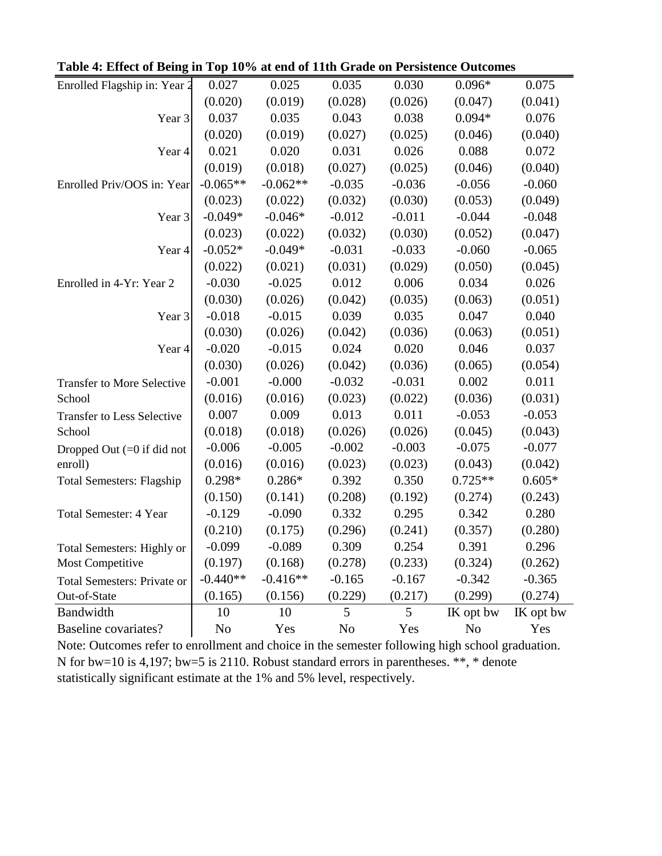| Enrolled Flagship in: Year 2       | 0.027          | 0.025      | 0.035          | 0.030    | $0.096*$       | 0.075     |
|------------------------------------|----------------|------------|----------------|----------|----------------|-----------|
|                                    | (0.020)        | (0.019)    | (0.028)        | (0.026)  | (0.047)        | (0.041)   |
| Year 3                             | 0.037          | 0.035      | 0.043          | 0.038    | $0.094*$       | 0.076     |
|                                    | (0.020)        | (0.019)    | (0.027)        | (0.025)  | (0.046)        | (0.040)   |
| Year 4                             | 0.021          | 0.020      | 0.031          | 0.026    | 0.088          | 0.072     |
|                                    | (0.019)        | (0.018)    | (0.027)        | (0.025)  | (0.046)        | (0.040)   |
| Enrolled Priv/OOS in: Year         | $-0.065**$     | $-0.062**$ | $-0.035$       | $-0.036$ | $-0.056$       | $-0.060$  |
|                                    | (0.023)        | (0.022)    | (0.032)        | (0.030)  | (0.053)        | (0.049)   |
| Year 3                             | $-0.049*$      | $-0.046*$  | $-0.012$       | $-0.011$ | $-0.044$       | $-0.048$  |
|                                    | (0.023)        | (0.022)    | (0.032)        | (0.030)  | (0.052)        | (0.047)   |
| Year 4                             | $-0.052*$      | $-0.049*$  | $-0.031$       | $-0.033$ | $-0.060$       | $-0.065$  |
|                                    | (0.022)        | (0.021)    | (0.031)        | (0.029)  | (0.050)        | (0.045)   |
| Enrolled in 4-Yr: Year 2           | $-0.030$       | $-0.025$   | 0.012          | 0.006    | 0.034          | 0.026     |
|                                    | (0.030)        | (0.026)    | (0.042)        | (0.035)  | (0.063)        | (0.051)   |
| Year 3                             | $-0.018$       | $-0.015$   | 0.039          | 0.035    | 0.047          | 0.040     |
|                                    | (0.030)        | (0.026)    | (0.042)        | (0.036)  | (0.063)        | (0.051)   |
| Year 4                             | $-0.020$       | $-0.015$   | 0.024          | 0.020    | 0.046          | 0.037     |
|                                    | (0.030)        | (0.026)    | (0.042)        | (0.036)  | (0.065)        | (0.054)   |
| <b>Transfer to More Selective</b>  | $-0.001$       | $-0.000$   | $-0.032$       | $-0.031$ | 0.002          | 0.011     |
| School                             | (0.016)        | (0.016)    | (0.023)        | (0.022)  | (0.036)        | (0.031)   |
| <b>Transfer to Less Selective</b>  | 0.007          | 0.009      | 0.013          | 0.011    | $-0.053$       | $-0.053$  |
| School                             | (0.018)        | (0.018)    | (0.026)        | (0.026)  | (0.045)        | (0.043)   |
| Dropped Out $(=0$ if did not       | $-0.006$       | $-0.005$   | $-0.002$       | $-0.003$ | $-0.075$       | $-0.077$  |
| enroll)                            | (0.016)        | (0.016)    | (0.023)        | (0.023)  | (0.043)        | (0.042)   |
| <b>Total Semesters: Flagship</b>   | $0.298*$       | $0.286*$   | 0.392          | 0.350    | $0.725**$      | $0.605*$  |
|                                    | (0.150)        | (0.141)    | (0.208)        | (0.192)  | (0.274)        | (0.243)   |
| <b>Total Semester: 4 Year</b>      | $-0.129$       | $-0.090$   | 0.332          | 0.295    | 0.342          | 0.280     |
|                                    | (0.210)        | (0.175)    | (0.296)        | (0.241)  | (0.357)        | (0.280)   |
| Total Semesters: Highly or         | $-0.099$       | $-0.089$   | 0.309          | 0.254    | 0.391          | 0.296     |
| Most Competitive                   | (0.197)        | (0.168)    | (0.278)        | (0.233)  | (0.324)        | (0.262)   |
| <b>Total Semesters: Private or</b> | $-0.440**$     | $-0.416**$ | $-0.165$       | $-0.167$ | $-0.342$       | $-0.365$  |
| Out-of-State                       | (0.165)        | (0.156)    | (0.229)        | (0.217)  | (0.299)        | (0.274)   |
| Bandwidth                          | 10             | 10         | 5              | 5        | IK opt bw      | IK opt bw |
| Baseline covariates?               | N <sub>o</sub> | Yes        | N <sub>o</sub> | Yes      | N <sub>o</sub> | Yes       |

**Table 4: Effect of Being in Top 10% at end of 11th Grade on Persistence Outcomes**

Note: Outcomes refer to enrollment and choice in the semester following high school graduation. N for bw=10 is 4,197; bw=5 is 2110. Robust standard errors in parentheses. \*\*, \* denote statistically significant estimate at the 1% and 5% level, respectively.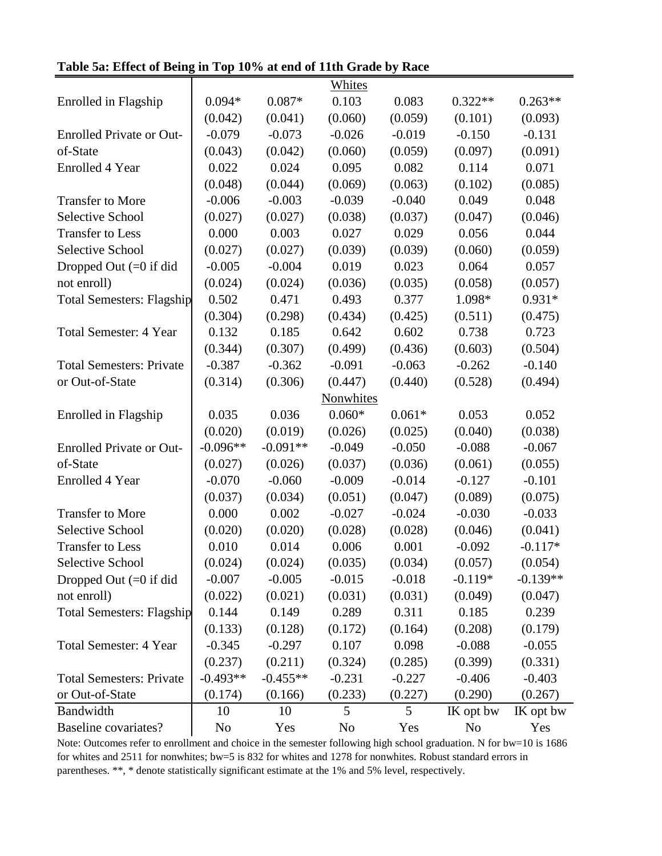|                                  |            |            | <b>Whites</b>    |          |                |            |
|----------------------------------|------------|------------|------------------|----------|----------------|------------|
| Enrolled in Flagship             | $0.094*$   | $0.087*$   | 0.103            | 0.083    | $0.322**$      | $0.263**$  |
|                                  | (0.042)    | (0.041)    | (0.060)          | (0.059)  | (0.101)        | (0.093)    |
| <b>Enrolled Private or Out-</b>  | $-0.079$   | $-0.073$   | $-0.026$         | $-0.019$ | $-0.150$       | $-0.131$   |
| of-State                         | (0.043)    | (0.042)    | (0.060)          | (0.059)  | (0.097)        | (0.091)    |
| <b>Enrolled 4 Year</b>           | 0.022      | 0.024      | 0.095            | 0.082    | 0.114          | 0.071      |
|                                  | (0.048)    | (0.044)    | (0.069)          | (0.063)  | (0.102)        | (0.085)    |
| <b>Transfer to More</b>          | $-0.006$   | $-0.003$   | $-0.039$         | $-0.040$ | 0.049          | 0.048      |
| <b>Selective School</b>          | (0.027)    | (0.027)    | (0.038)          | (0.037)  | (0.047)        | (0.046)    |
| <b>Transfer to Less</b>          | 0.000      | 0.003      | 0.027            | 0.029    | 0.056          | 0.044      |
| <b>Selective School</b>          | (0.027)    | (0.027)    | (0.039)          | (0.039)  | (0.060)        | (0.059)    |
| Dropped Out $(=0$ if did         | $-0.005$   | $-0.004$   | 0.019            | 0.023    | 0.064          | 0.057      |
| not enroll)                      | (0.024)    | (0.024)    | (0.036)          | (0.035)  | (0.058)        | (0.057)    |
| <b>Total Semesters: Flagship</b> | 0.502      | 0.471      | 0.493            | 0.377    | 1.098*         | $0.931*$   |
|                                  | (0.304)    | (0.298)    | (0.434)          | (0.425)  | (0.511)        | (0.475)    |
| <b>Total Semester: 4 Year</b>    | 0.132      | 0.185      | 0.642            | 0.602    | 0.738          | 0.723      |
|                                  | (0.344)    | (0.307)    | (0.499)          | (0.436)  | (0.603)        | (0.504)    |
| <b>Total Semesters: Private</b>  | $-0.387$   | $-0.362$   | $-0.091$         | $-0.063$ | $-0.262$       | $-0.140$   |
| or Out-of-State                  | (0.314)    | (0.306)    | (0.447)          | (0.440)  | (0.528)        | (0.494)    |
|                                  |            |            | <b>Nonwhites</b> |          |                |            |
| Enrolled in Flagship             | 0.035      | 0.036      | $0.060*$         | $0.061*$ | 0.053          | 0.052      |
|                                  | (0.020)    | (0.019)    | (0.026)          | (0.025)  | (0.040)        | (0.038)    |
| <b>Enrolled Private or Out-</b>  | $-0.096**$ | $-0.091**$ | $-0.049$         | $-0.050$ | $-0.088$       | $-0.067$   |
| of-State                         | (0.027)    | (0.026)    | (0.037)          | (0.036)  | (0.061)        | (0.055)    |
| <b>Enrolled 4 Year</b>           | $-0.070$   | $-0.060$   | $-0.009$         | $-0.014$ | $-0.127$       | $-0.101$   |
|                                  | (0.037)    | (0.034)    | (0.051)          | (0.047)  | (0.089)        | (0.075)    |
| <b>Transfer to More</b>          | 0.000      | 0.002      | $-0.027$         | $-0.024$ | $-0.030$       | $-0.033$   |
| Selective School                 | (0.020)    | (0.020)    | (0.028)          | (0.028)  | (0.046)        | (0.041)    |
| <b>Transfer to Less</b>          | 0.010      | 0.014      | 0.006            | 0.001    | $-0.092$       | $-0.117*$  |
| Selective School                 | (0.024)    | (0.024)    | (0.035)          | (0.034)  | (0.057)        | (0.054)    |
| Dropped Out $(=0$ if did         | $-0.007$   | $-0.005$   | $-0.015$         | $-0.018$ | $-0.119*$      | $-0.139**$ |
| not enroll)                      | (0.022)    | (0.021)    | (0.031)          | (0.031)  | (0.049)        | (0.047)    |
| <b>Total Semesters: Flagship</b> | 0.144      | 0.149      | 0.289            | 0.311    | 0.185          | 0.239      |
|                                  | (0.133)    | (0.128)    | (0.172)          | (0.164)  | (0.208)        | (0.179)    |
| <b>Total Semester: 4 Year</b>    | $-0.345$   | $-0.297$   | 0.107            | 0.098    | $-0.088$       | $-0.055$   |
|                                  | (0.237)    | (0.211)    | (0.324)          | (0.285)  | (0.399)        | (0.331)    |
| <b>Total Semesters: Private</b>  | $-0.493**$ | $-0.455**$ | $-0.231$         | $-0.227$ | $-0.406$       | $-0.403$   |
| or Out-of-State                  | (0.174)    | (0.166)    | (0.233)          | (0.227)  | (0.290)        | (0.267)    |
| Bandwidth                        | 10         | 10         | 5                | 5        | IK opt bw      | IK opt bw  |
| Baseline covariates?             | No         | Yes        | N <sub>0</sub>   | Yes      | N <sub>o</sub> | Yes        |

**Table 5a: Effect of Being in Top 10% at end of 11th Grade by Race**

Note: Outcomes refer to enrollment and choice in the semester following high school graduation. N for bw=10 is 1686 for whites and 2511 for nonwhites; bw=5 is 832 for whites and 1278 for nonwhites. Robust standard errors in parentheses. \*\*, \* denote statistically significant estimate at the 1% and 5% level, respectively.